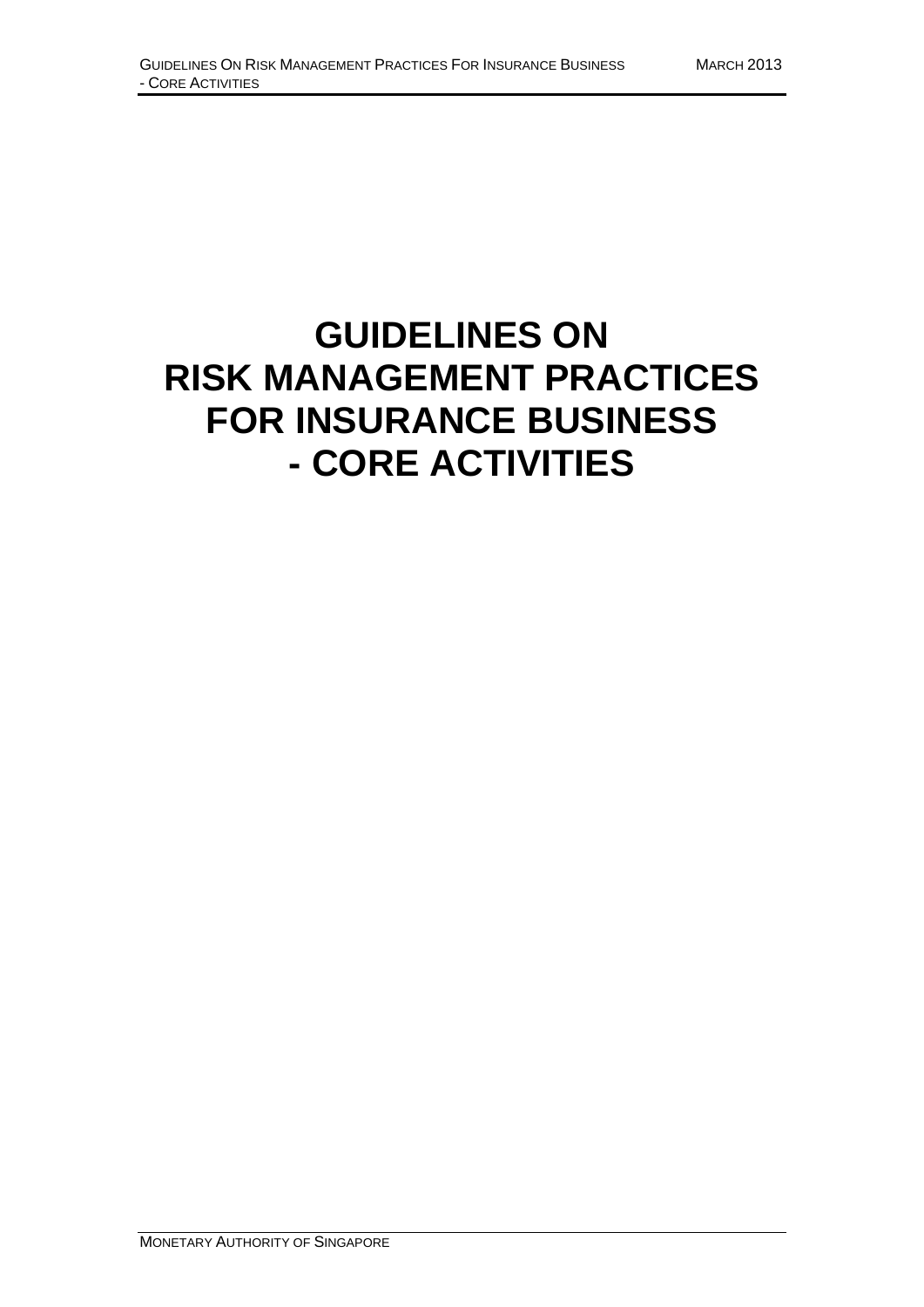# **GUIDELINES ON RISK MANAGEMENT PRACTICES FOR INSURANCE BUSINESS - CORE ACTIVITIES**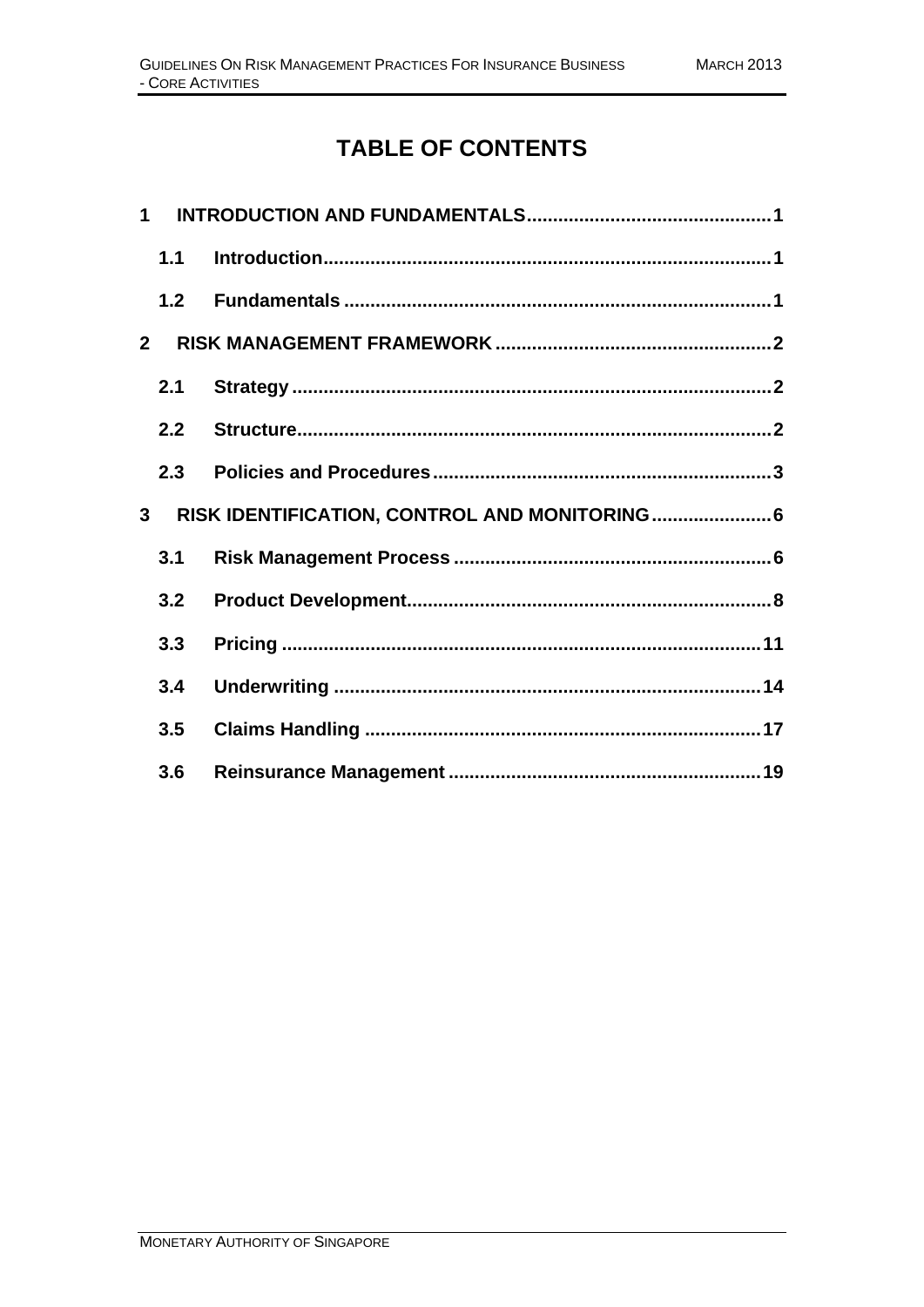# **TABLE OF CONTENTS**

| $\mathbf 1$                                                     |     |  |
|-----------------------------------------------------------------|-----|--|
|                                                                 | 1.1 |  |
|                                                                 | 1.2 |  |
| $2^{\circ}$                                                     |     |  |
|                                                                 | 2.1 |  |
|                                                                 | 2.2 |  |
|                                                                 | 2.3 |  |
| RISK IDENTIFICATION, CONTROL AND MONITORING 6<br>3 <sup>1</sup> |     |  |
|                                                                 | 3.1 |  |
|                                                                 | 3.2 |  |
|                                                                 | 3.3 |  |
|                                                                 | 3.4 |  |
|                                                                 | 3.5 |  |
|                                                                 | 3.6 |  |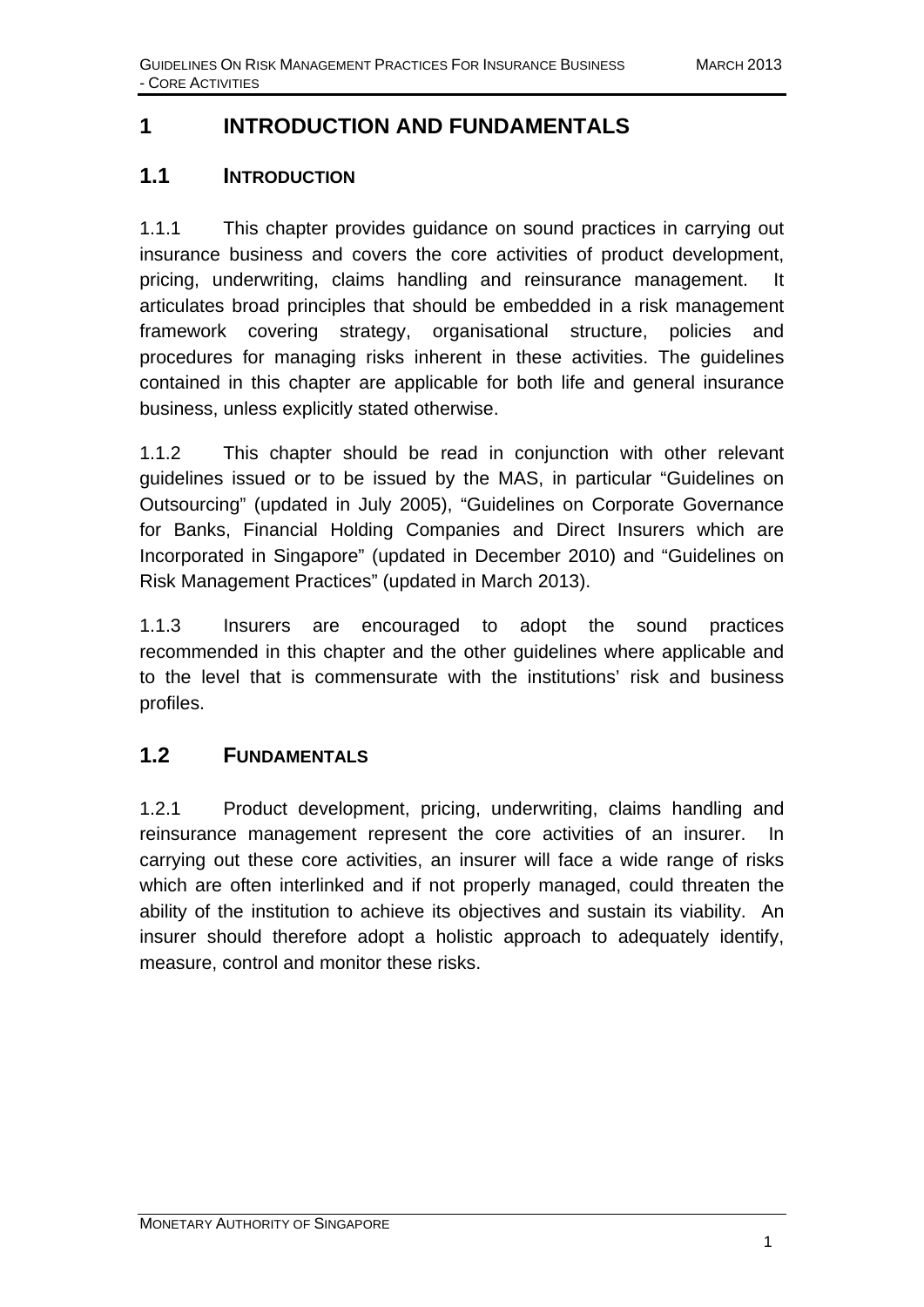# **1 INTRODUCTION AND FUNDAMENTALS**

## **1.1 INTRODUCTION**

1.1.1 This chapter provides guidance on sound practices in carrying out insurance business and covers the core activities of product development, pricing, underwriting, claims handling and reinsurance management. It articulates broad principles that should be embedded in a risk management framework covering strategy, organisational structure, policies and procedures for managing risks inherent in these activities. The guidelines contained in this chapter are applicable for both life and general insurance business, unless explicitly stated otherwise.

1.1.2 This chapter should be read in conjunction with other relevant guidelines issued or to be issued by the MAS, in particular "Guidelines on Outsourcing" (updated in July 2005), "Guidelines on Corporate Governance for Banks, Financial Holding Companies and Direct Insurers which are Incorporated in Singapore" (updated in December 2010) and "Guidelines on Risk Management Practices" (updated in March 2013).

1.1.3 Insurers are encouraged to adopt the sound practices recommended in this chapter and the other guidelines where applicable and to the level that is commensurate with the institutions' risk and business profiles.

## **1.2 FUNDAMENTALS**

1.2.1 Product development, pricing, underwriting, claims handling and reinsurance management represent the core activities of an insurer. In carrying out these core activities, an insurer will face a wide range of risks which are often interlinked and if not properly managed, could threaten the ability of the institution to achieve its objectives and sustain its viability. An insurer should therefore adopt a holistic approach to adequately identify, measure, control and monitor these risks.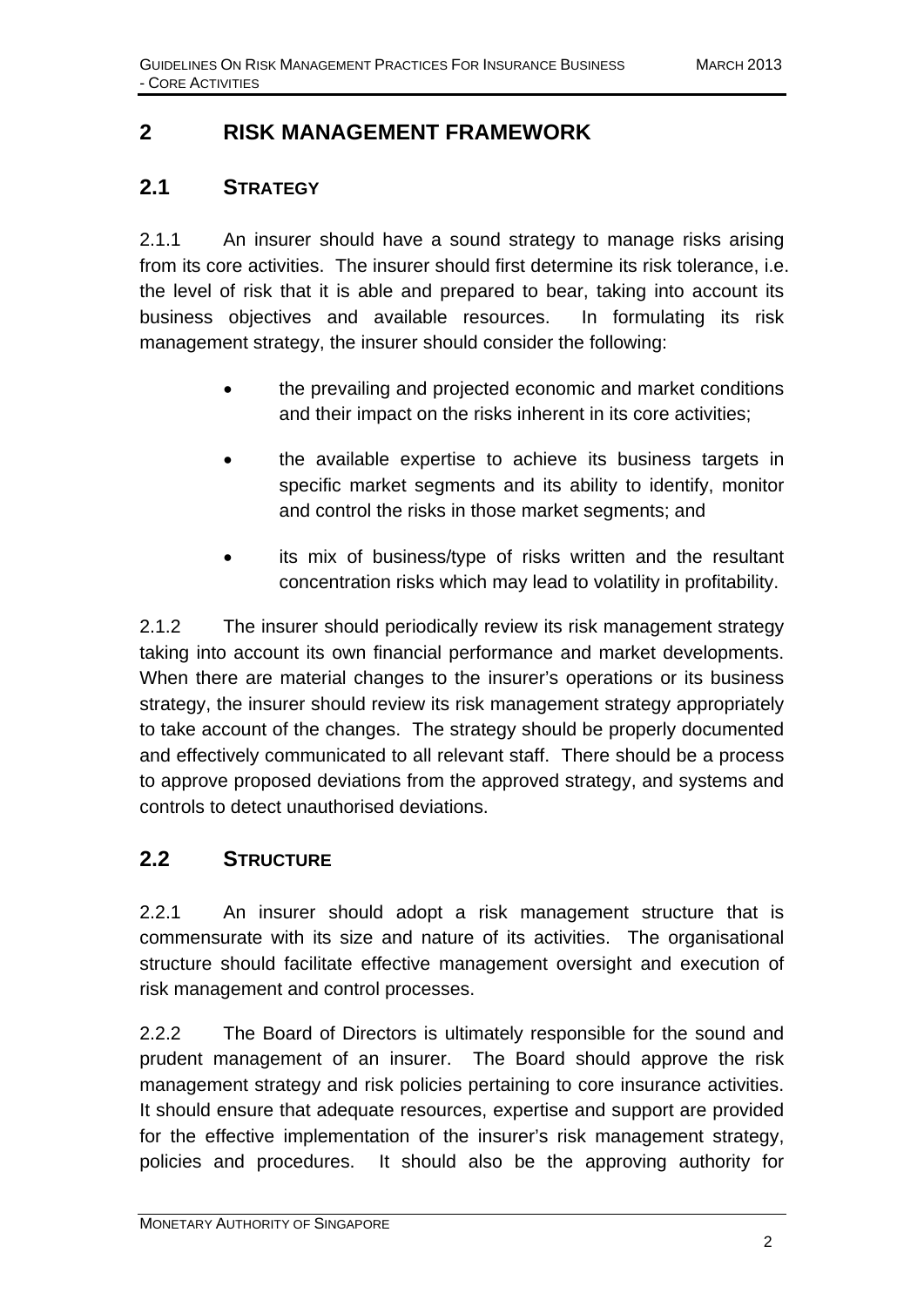## **2 RISK MANAGEMENT FRAMEWORK**

#### **2.1 STRATEGY**

2.1.1 An insurer should have a sound strategy to manage risks arising from its core activities. The insurer should first determine its risk tolerance, i.e. the level of risk that it is able and prepared to bear, taking into account its business objectives and available resources. In formulating its risk management strategy, the insurer should consider the following:

- the prevailing and projected economic and market conditions and their impact on the risks inherent in its core activities;
- the available expertise to achieve its business targets in specific market segments and its ability to identify, monitor and control the risks in those market segments; and
- its mix of business/type of risks written and the resultant concentration risks which may lead to volatility in profitability.

2.1.2 The insurer should periodically review its risk management strategy taking into account its own financial performance and market developments. When there are material changes to the insurer's operations or its business strategy, the insurer should review its risk management strategy appropriately to take account of the changes. The strategy should be properly documented and effectively communicated to all relevant staff. There should be a process to approve proposed deviations from the approved strategy, and systems and controls to detect unauthorised deviations.

## **2.2 STRUCTURE**

2.2.1 An insurer should adopt a risk management structure that is commensurate with its size and nature of its activities. The organisational structure should facilitate effective management oversight and execution of risk management and control processes.

2.2.2 The Board of Directors is ultimately responsible for the sound and prudent management of an insurer. The Board should approve the risk management strategy and risk policies pertaining to core insurance activities. It should ensure that adequate resources, expertise and support are provided for the effective implementation of the insurer's risk management strategy, policies and procedures. It should also be the approving authority for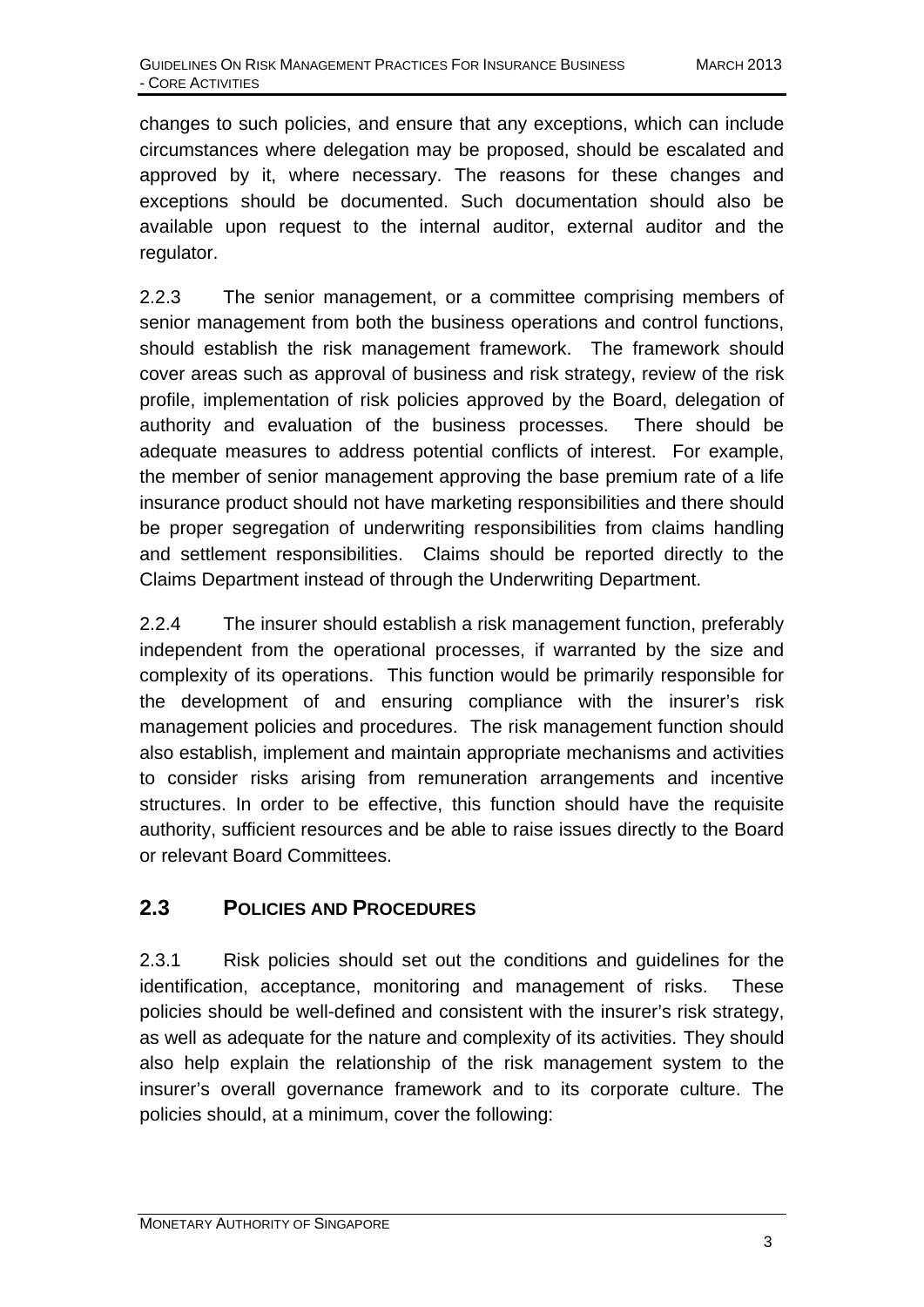changes to such policies, and ensure that any exceptions, which can include circumstances where delegation may be proposed, should be escalated and approved by it, where necessary. The reasons for these changes and exceptions should be documented. Such documentation should also be available upon request to the internal auditor, external auditor and the regulator.

2.2.3 The senior management, or a committee comprising members of senior management from both the business operations and control functions, should establish the risk management framework. The framework should cover areas such as approval of business and risk strategy, review of the risk profile, implementation of risk policies approved by the Board, delegation of authority and evaluation of the business processes. There should be adequate measures to address potential conflicts of interest. For example, the member of senior management approving the base premium rate of a life insurance product should not have marketing responsibilities and there should be proper segregation of underwriting responsibilities from claims handling and settlement responsibilities. Claims should be reported directly to the Claims Department instead of through the Underwriting Department.

2.2.4 The insurer should establish a risk management function, preferably independent from the operational processes, if warranted by the size and complexity of its operations. This function would be primarily responsible for the development of and ensuring compliance with the insurer's risk management policies and procedures. The risk management function should also establish, implement and maintain appropriate mechanisms and activities to consider risks arising from remuneration arrangements and incentive structures. In order to be effective, this function should have the requisite authority, sufficient resources and be able to raise issues directly to the Board or relevant Board Committees.

## **2.3 POLICIES AND PROCEDURES**

2.3.1 Risk policies should set out the conditions and guidelines for the identification, acceptance, monitoring and management of risks. These policies should be well-defined and consistent with the insurer's risk strategy, as well as adequate for the nature and complexity of its activities. They should also help explain the relationship of the risk management system to the insurer's overall governance framework and to its corporate culture. The policies should, at a minimum, cover the following: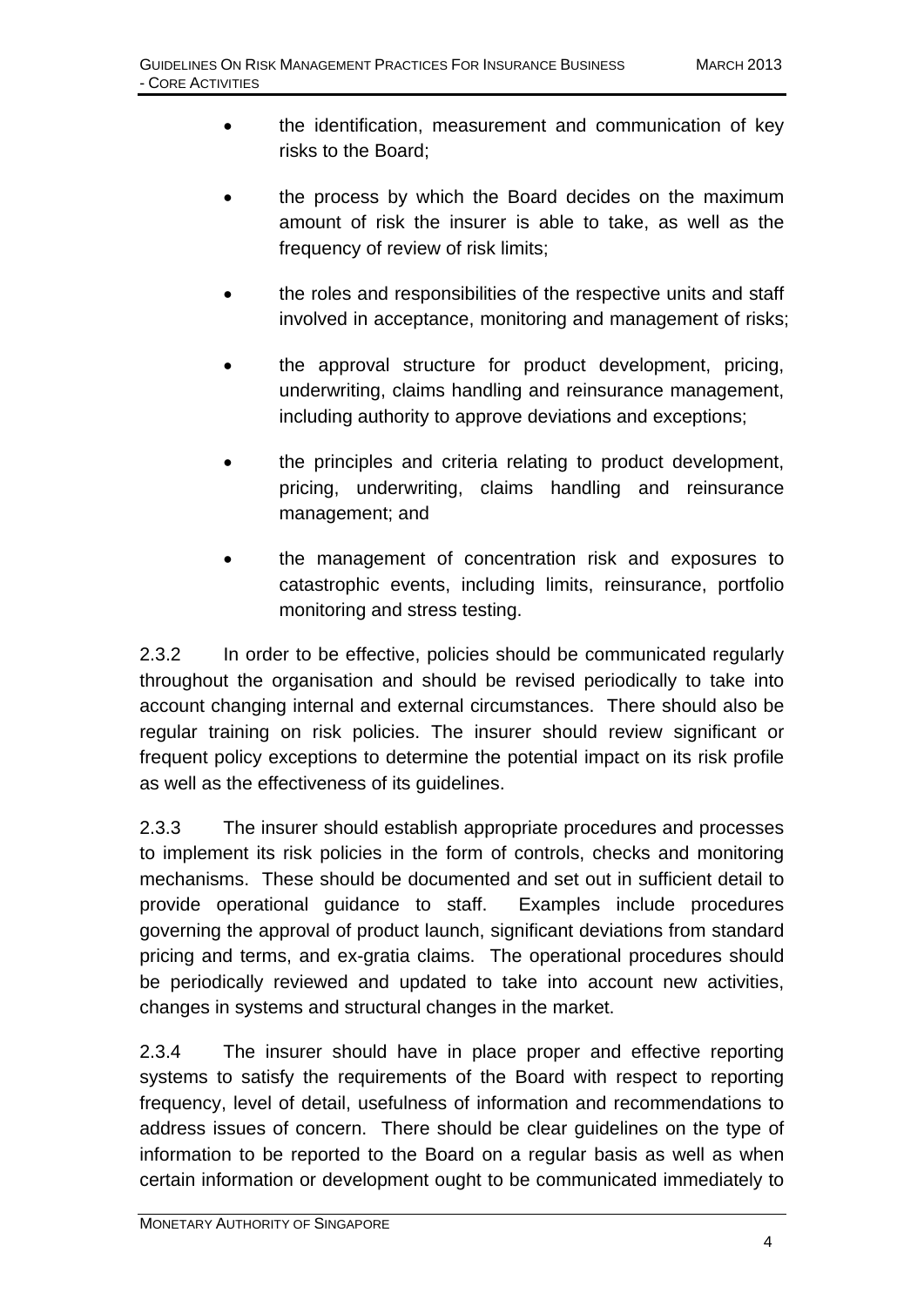- the identification, measurement and communication of key risks to the Board;
- the process by which the Board decides on the maximum amount of risk the insurer is able to take, as well as the frequency of review of risk limits;
- the roles and responsibilities of the respective units and staff involved in acceptance, monitoring and management of risks;
- the approval structure for product development, pricing, underwriting, claims handling and reinsurance management, including authority to approve deviations and exceptions;
- the principles and criteria relating to product development, pricing, underwriting, claims handling and reinsurance management; and
- the management of concentration risk and exposures to catastrophic events, including limits, reinsurance, portfolio monitoring and stress testing.

2.3.2 In order to be effective, policies should be communicated regularly throughout the organisation and should be revised periodically to take into account changing internal and external circumstances. There should also be regular training on risk policies. The insurer should review significant or frequent policy exceptions to determine the potential impact on its risk profile as well as the effectiveness of its guidelines.

2.3.3 The insurer should establish appropriate procedures and processes to implement its risk policies in the form of controls, checks and monitoring mechanisms. These should be documented and set out in sufficient detail to provide operational guidance to staff. Examples include procedures governing the approval of product launch, significant deviations from standard pricing and terms, and ex-gratia claims. The operational procedures should be periodically reviewed and updated to take into account new activities, changes in systems and structural changes in the market.

2.3.4 The insurer should have in place proper and effective reporting systems to satisfy the requirements of the Board with respect to reporting frequency, level of detail, usefulness of information and recommendations to address issues of concern. There should be clear guidelines on the type of information to be reported to the Board on a regular basis as well as when certain information or development ought to be communicated immediately to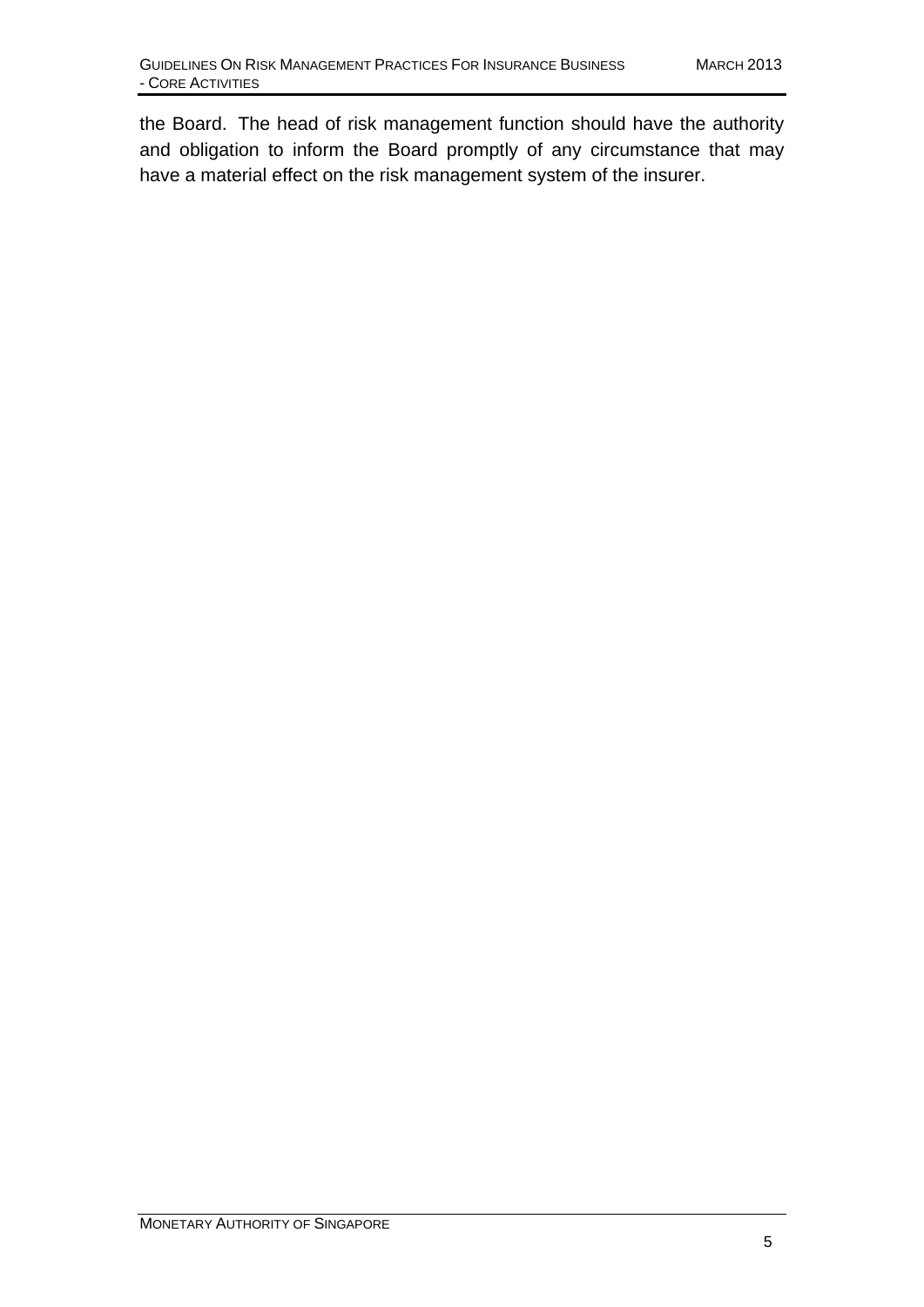the Board. The head of risk management function should have the authority and obligation to inform the Board promptly of any circumstance that may have a material effect on the risk management system of the insurer.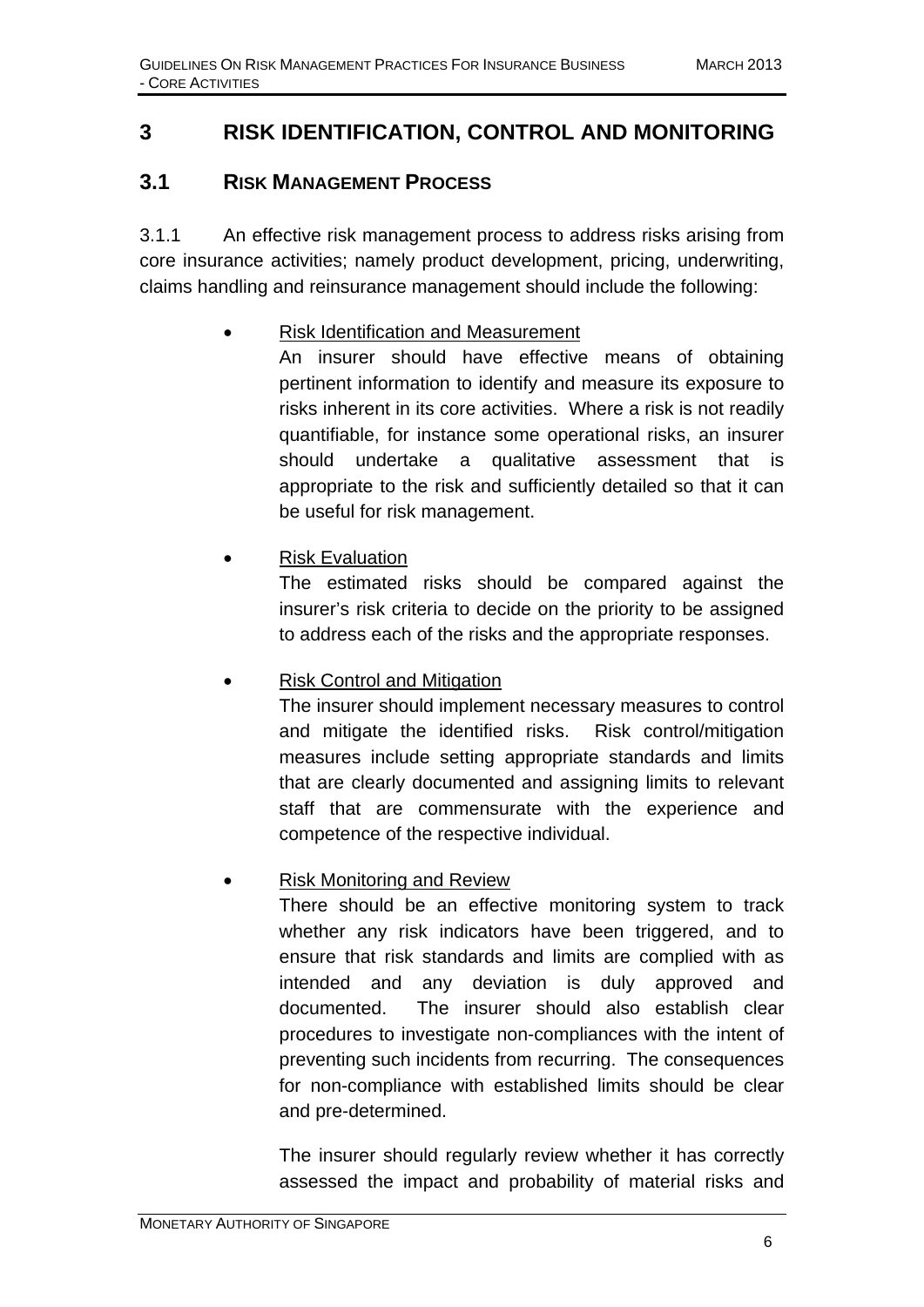## **3 RISK IDENTIFICATION, CONTROL AND MONITORING**

## **3.1 RISK MANAGEMENT PROCESS**

3.1.1 An effective risk management process to address risks arising from core insurance activities; namely product development, pricing, underwriting, claims handling and reinsurance management should include the following:

#### • Risk Identification and Measurement

An insurer should have effective means of obtaining pertinent information to identify and measure its exposure to risks inherent in its core activities. Where a risk is not readily quantifiable, for instance some operational risks, an insurer should undertake a qualitative assessment that is appropriate to the risk and sufficiently detailed so that it can be useful for risk management.

#### • Risk Evaluation

The estimated risks should be compared against the insurer's risk criteria to decide on the priority to be assigned to address each of the risks and the appropriate responses.

#### • Risk Control and Mitigation

The insurer should implement necessary measures to control and mitigate the identified risks. Risk control/mitigation measures include setting appropriate standards and limits that are clearly documented and assigning limits to relevant staff that are commensurate with the experience and competence of the respective individual.

#### • Risk Monitoring and Review

There should be an effective monitoring system to track whether any risk indicators have been triggered, and to ensure that risk standards and limits are complied with as intended and any deviation is duly approved and documented. The insurer should also establish clear procedures to investigate non-compliances with the intent of preventing such incidents from recurring. The consequences for non-compliance with established limits should be clear and pre-determined.

The insurer should regularly review whether it has correctly assessed the impact and probability of material risks and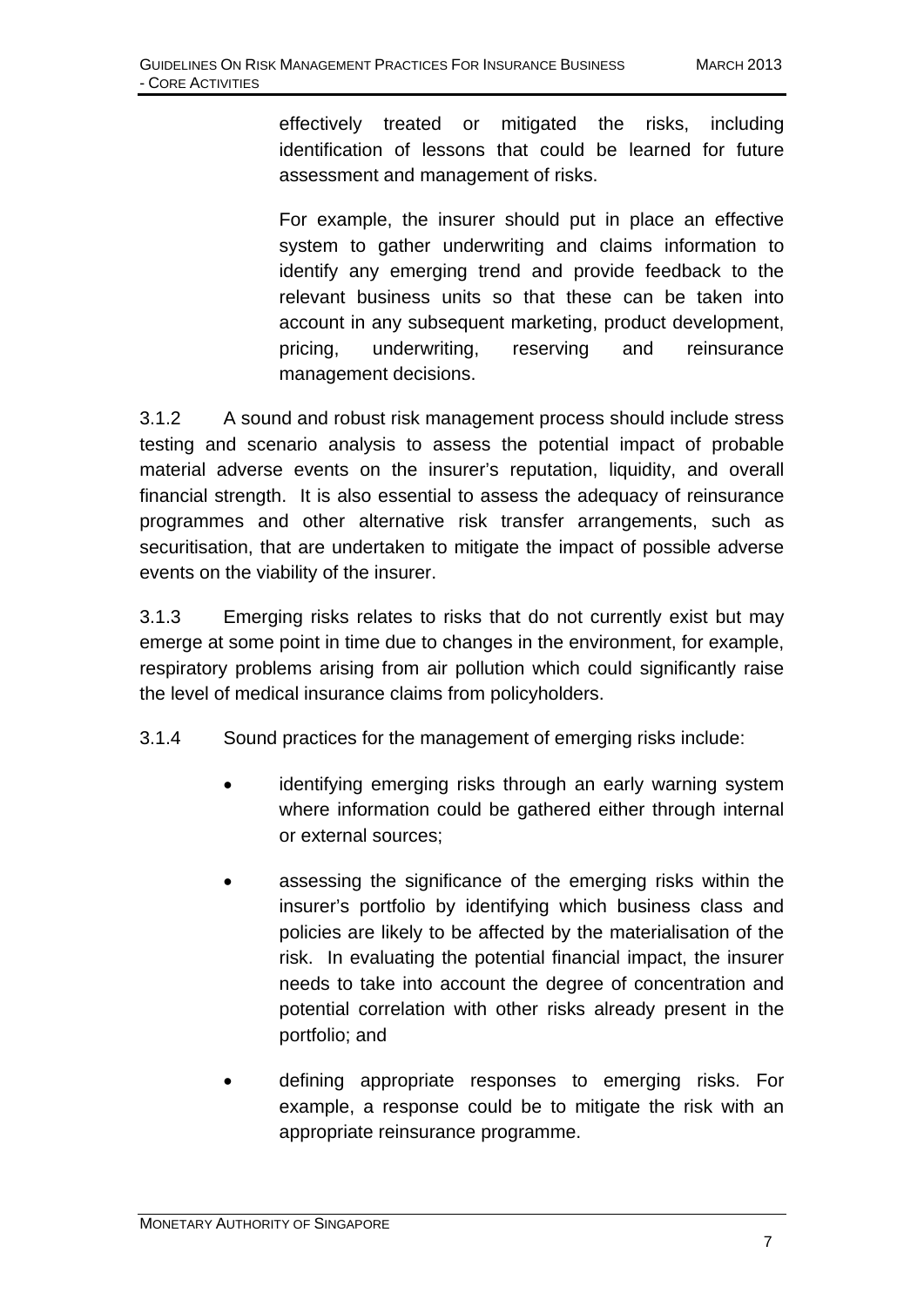effectively treated or mitigated the risks, including identification of lessons that could be learned for future assessment and management of risks.

For example, the insurer should put in place an effective system to gather underwriting and claims information to identify any emerging trend and provide feedback to the relevant business units so that these can be taken into account in any subsequent marketing, product development, pricing, underwriting, reserving and reinsurance management decisions.

3.1.2 A sound and robust risk management process should include stress testing and scenario analysis to assess the potential impact of probable material adverse events on the insurer's reputation, liquidity, and overall financial strength. It is also essential to assess the adequacy of reinsurance programmes and other alternative risk transfer arrangements, such as securitisation, that are undertaken to mitigate the impact of possible adverse events on the viability of the insurer.

3.1.3 Emerging risks relates to risks that do not currently exist but may emerge at some point in time due to changes in the environment, for example, respiratory problems arising from air pollution which could significantly raise the level of medical insurance claims from policyholders.

3.1.4 Sound practices for the management of emerging risks include:

- identifying emerging risks through an early warning system where information could be gathered either through internal or external sources;
- assessing the significance of the emerging risks within the insurer's portfolio by identifying which business class and policies are likely to be affected by the materialisation of the risk. In evaluating the potential financial impact, the insurer needs to take into account the degree of concentration and potential correlation with other risks already present in the portfolio; and
- defining appropriate responses to emerging risks. For example, a response could be to mitigate the risk with an appropriate reinsurance programme.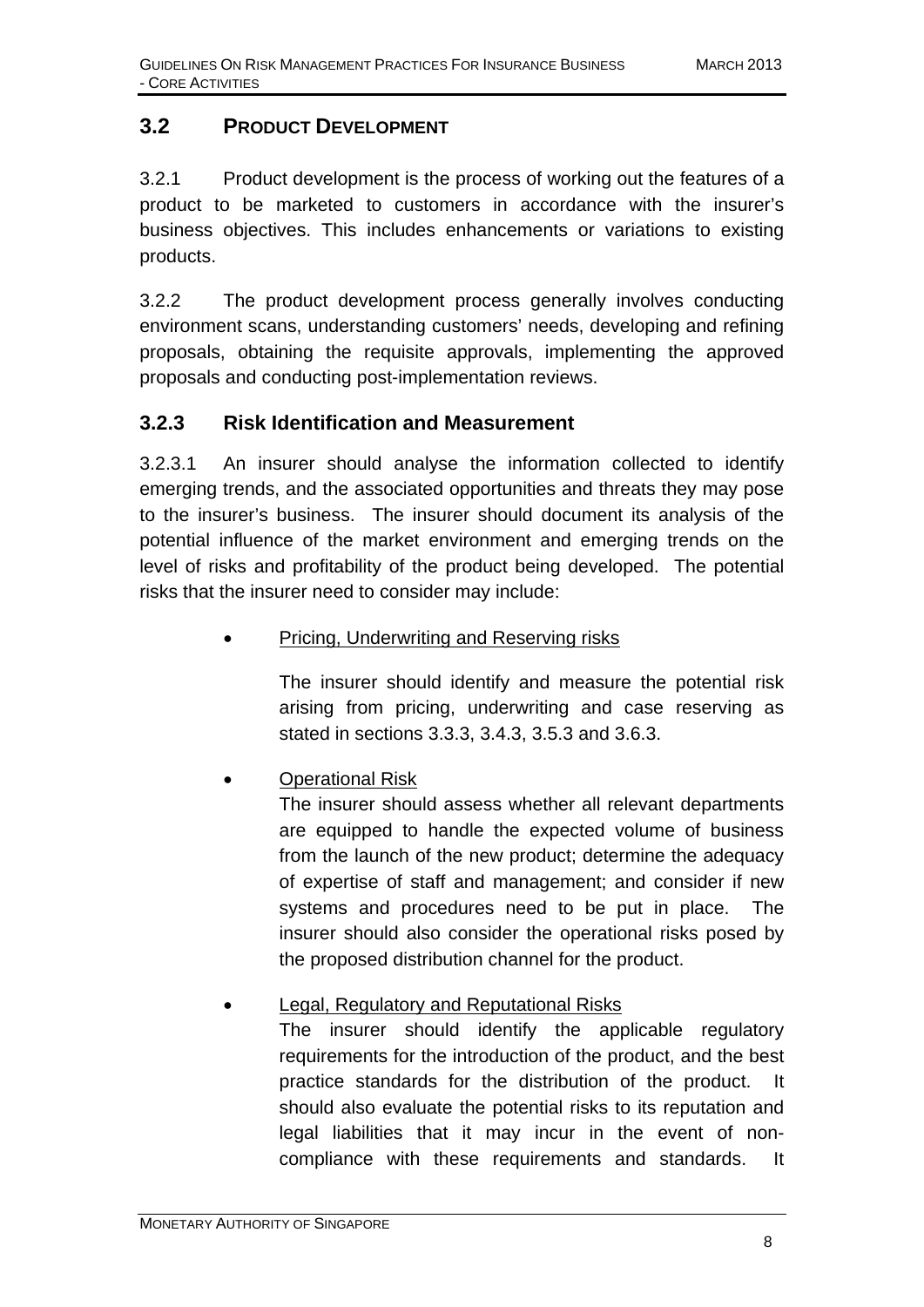## **3.2 PRODUCT DEVELOPMENT**

3.2.1 Product development is the process of working out the features of a product to be marketed to customers in accordance with the insurer's business objectives. This includes enhancements or variations to existing products.

3.2.2 The product development process generally involves conducting environment scans, understanding customers' needs, developing and refining proposals, obtaining the requisite approvals, implementing the approved proposals and conducting post-implementation reviews.

#### **3.2.3 Risk Identification and Measurement**

3.2.3.1 An insurer should analyse the information collected to identify emerging trends, and the associated opportunities and threats they may pose to the insurer's business. The insurer should document its analysis of the potential influence of the market environment and emerging trends on the level of risks and profitability of the product being developed. The potential risks that the insurer need to consider may include:

• Pricing, Underwriting and Reserving risks

The insurer should identify and measure the potential risk arising from pricing, underwriting and case reserving as stated in sections 3.3.3, 3.4.3, 3.5.3 and 3.6.3.

#### • Operational Risk

The insurer should assess whether all relevant departments are equipped to handle the expected volume of business from the launch of the new product; determine the adequacy of expertise of staff and management; and consider if new systems and procedures need to be put in place. The insurer should also consider the operational risks posed by the proposed distribution channel for the product.

#### • Legal, Regulatory and Reputational Risks

The insurer should identify the applicable regulatory requirements for the introduction of the product, and the best practice standards for the distribution of the product. It should also evaluate the potential risks to its reputation and legal liabilities that it may incur in the event of noncompliance with these requirements and standards. It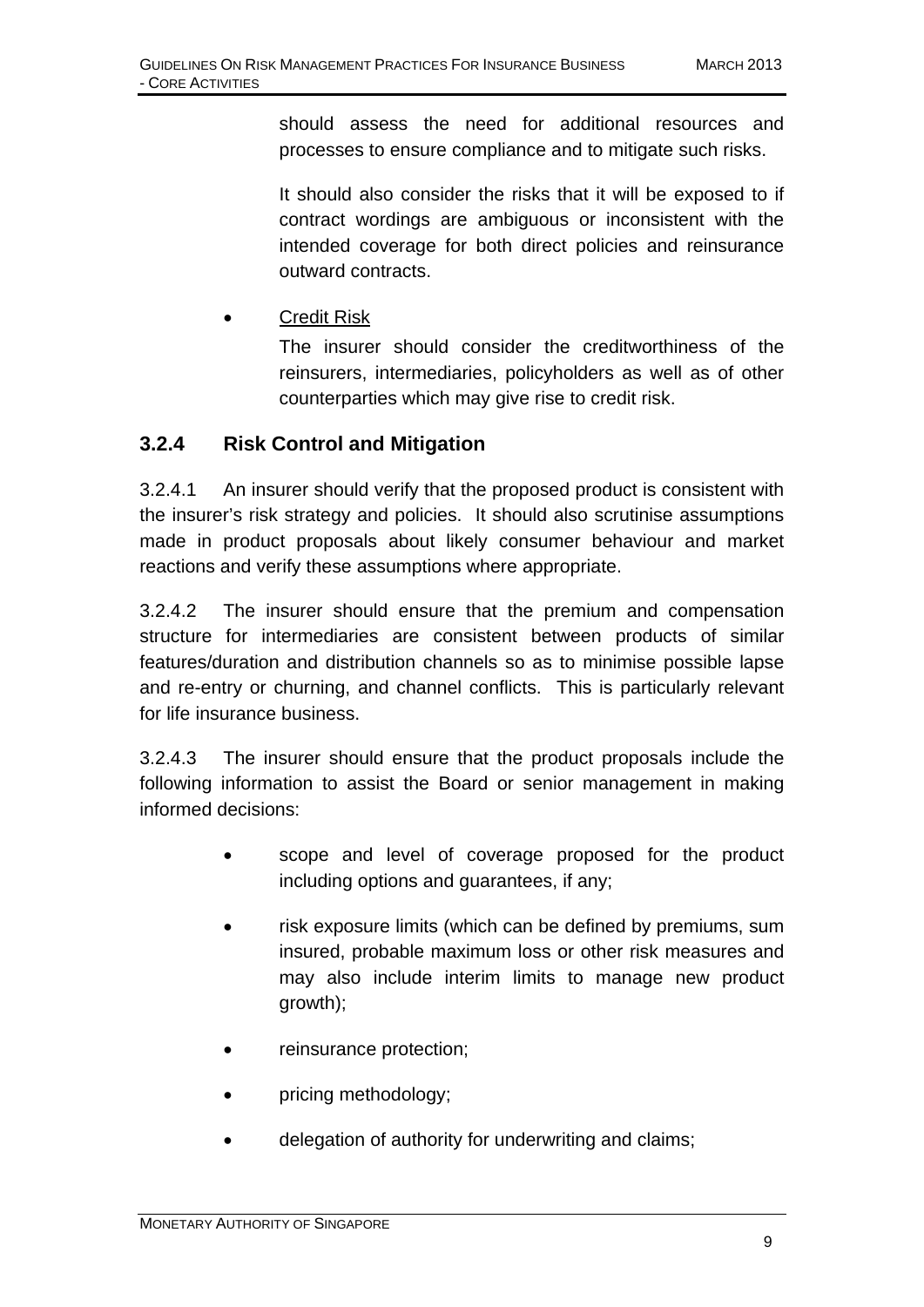should assess the need for additional resources and processes to ensure compliance and to mitigate such risks.

It should also consider the risks that it will be exposed to if contract wordings are ambiguous or inconsistent with the intended coverage for both direct policies and reinsurance outward contracts.

• Credit Risk

The insurer should consider the creditworthiness of the reinsurers, intermediaries, policyholders as well as of other counterparties which may give rise to credit risk.

#### **3.2.4 Risk Control and Mitigation**

3.2.4.1 An insurer should verify that the proposed product is consistent with the insurer's risk strategy and policies. It should also scrutinise assumptions made in product proposals about likely consumer behaviour and market reactions and verify these assumptions where appropriate.

3.2.4.2 The insurer should ensure that the premium and compensation structure for intermediaries are consistent between products of similar features/duration and distribution channels so as to minimise possible lapse and re-entry or churning, and channel conflicts. This is particularly relevant for life insurance business.

3.2.4.3 The insurer should ensure that the product proposals include the following information to assist the Board or senior management in making informed decisions:

- scope and level of coverage proposed for the product including options and guarantees, if any;
- risk exposure limits (which can be defined by premiums, sum insured, probable maximum loss or other risk measures and may also include interim limits to manage new product growth);
- reinsurance protection;
- pricing methodology;
- delegation of authority for underwriting and claims;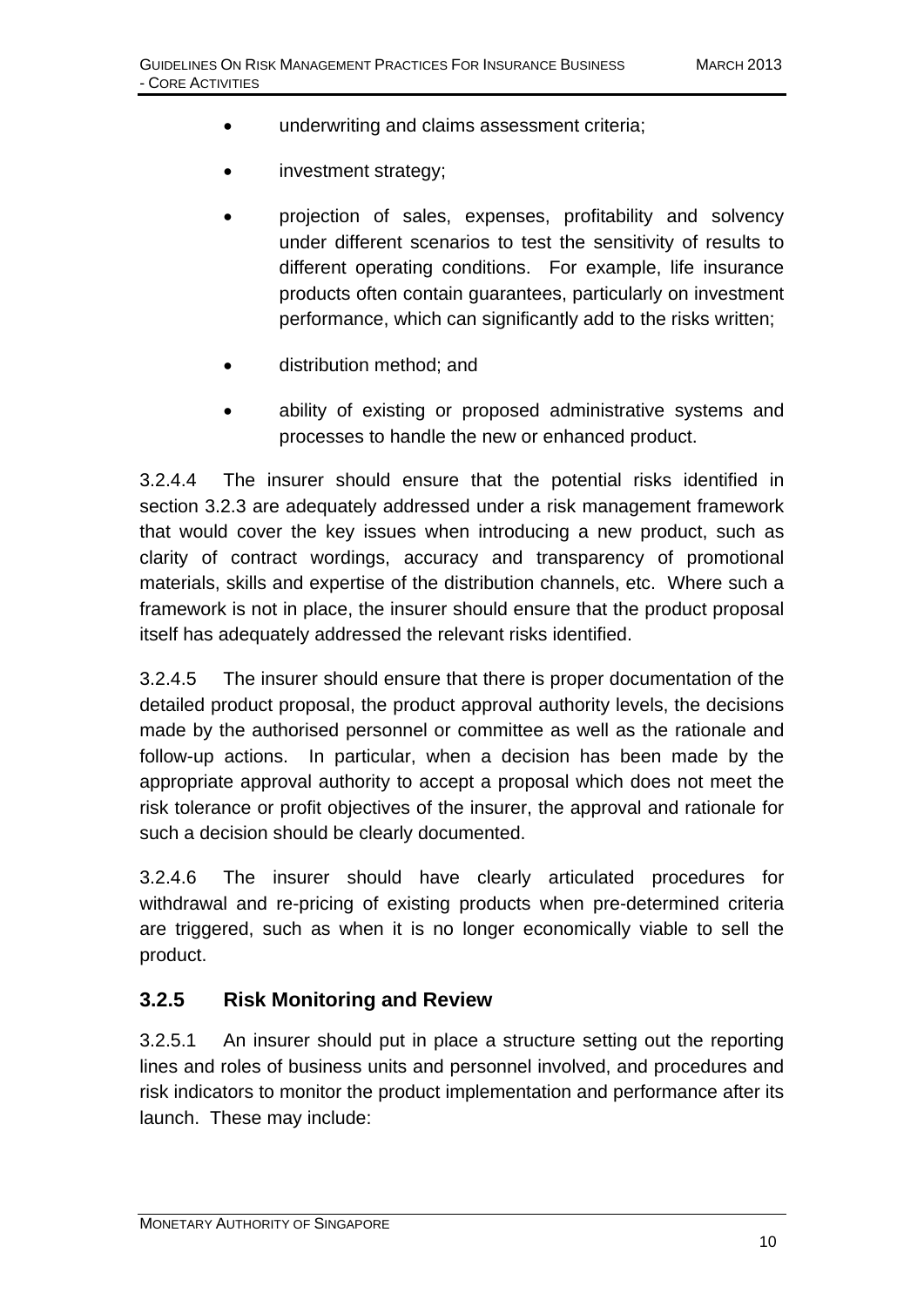- underwriting and claims assessment criteria;
- investment strategy;
- projection of sales, expenses, profitability and solvency under different scenarios to test the sensitivity of results to different operating conditions. For example, life insurance products often contain guarantees, particularly on investment performance, which can significantly add to the risks written;
- distribution method; and
- ability of existing or proposed administrative systems and processes to handle the new or enhanced product.

3.2.4.4 The insurer should ensure that the potential risks identified in section 3.2.3 are adequately addressed under a risk management framework that would cover the key issues when introducing a new product, such as clarity of contract wordings, accuracy and transparency of promotional materials, skills and expertise of the distribution channels, etc. Where such a framework is not in place, the insurer should ensure that the product proposal itself has adequately addressed the relevant risks identified.

3.2.4.5 The insurer should ensure that there is proper documentation of the detailed product proposal, the product approval authority levels, the decisions made by the authorised personnel or committee as well as the rationale and follow-up actions. In particular, when a decision has been made by the appropriate approval authority to accept a proposal which does not meet the risk tolerance or profit objectives of the insurer, the approval and rationale for such a decision should be clearly documented.

3.2.4.6 The insurer should have clearly articulated procedures for withdrawal and re-pricing of existing products when pre-determined criteria are triggered, such as when it is no longer economically viable to sell the product.

#### **3.2.5 Risk Monitoring and Review**

3.2.5.1 An insurer should put in place a structure setting out the reporting lines and roles of business units and personnel involved, and procedures and risk indicators to monitor the product implementation and performance after its launch. These may include: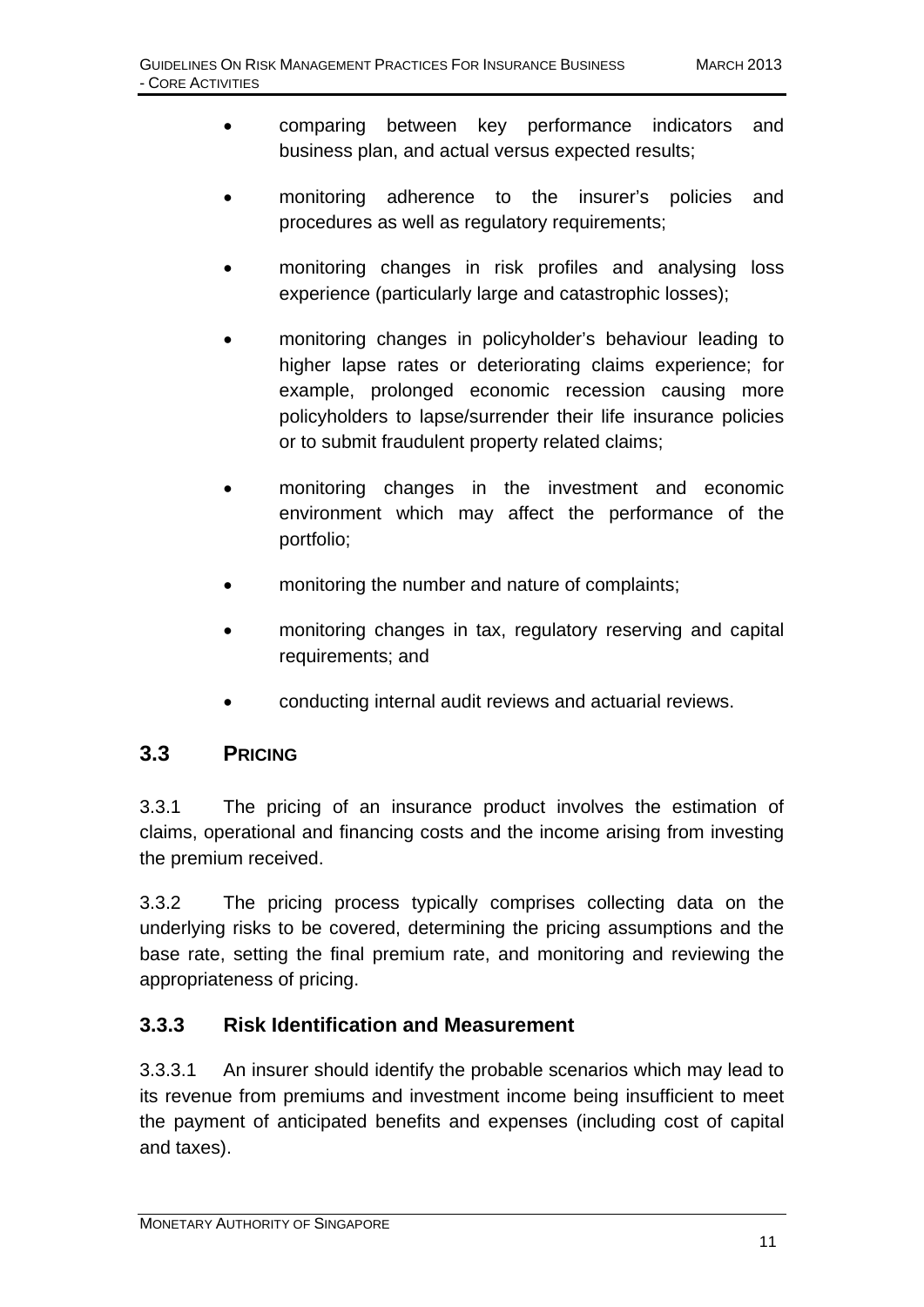- comparing between key performance indicators and business plan, and actual versus expected results;
- monitoring adherence to the insurer's policies and procedures as well as regulatory requirements;
- monitoring changes in risk profiles and analysing loss experience (particularly large and catastrophic losses);
- monitoring changes in policyholder's behaviour leading to higher lapse rates or deteriorating claims experience; for example, prolonged economic recession causing more policyholders to lapse/surrender their life insurance policies or to submit fraudulent property related claims;
- monitoring changes in the investment and economic environment which may affect the performance of the portfolio;
- monitoring the number and nature of complaints;
- monitoring changes in tax, regulatory reserving and capital requirements; and
- conducting internal audit reviews and actuarial reviews.

## **3.3 PRICING**

3.3.1 The pricing of an insurance product involves the estimation of claims, operational and financing costs and the income arising from investing the premium received.

3.3.2 The pricing process typically comprises collecting data on the underlying risks to be covered, determining the pricing assumptions and the base rate, setting the final premium rate, and monitoring and reviewing the appropriateness of pricing.

#### **3.3.3 Risk Identification and Measurement**

3.3.3.1 An insurer should identify the probable scenarios which may lead to its revenue from premiums and investment income being insufficient to meet the payment of anticipated benefits and expenses (including cost of capital and taxes).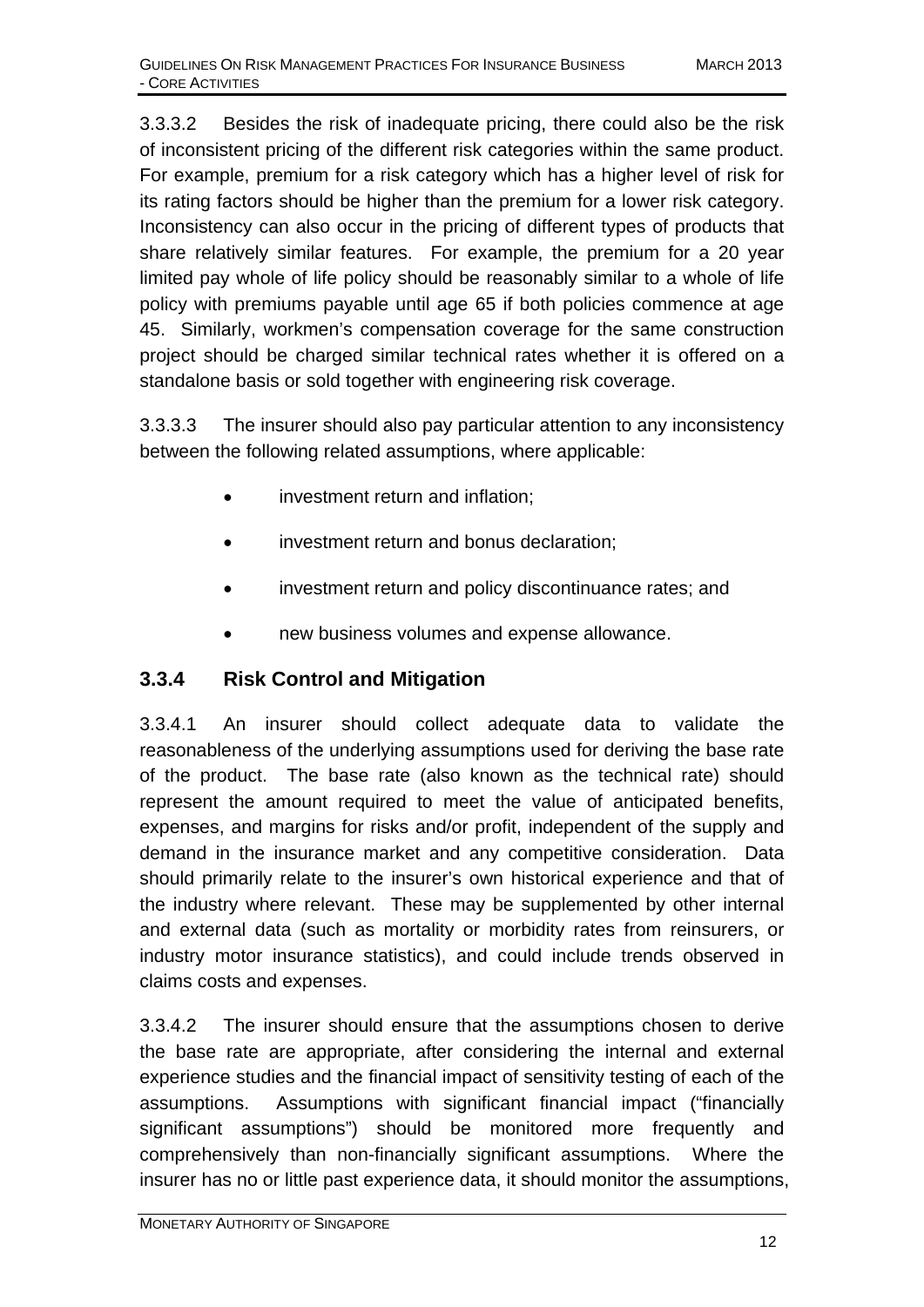3.3.3.2 Besides the risk of inadequate pricing, there could also be the risk of inconsistent pricing of the different risk categories within the same product. For example, premium for a risk category which has a higher level of risk for its rating factors should be higher than the premium for a lower risk category. Inconsistency can also occur in the pricing of different types of products that share relatively similar features. For example, the premium for a 20 year limited pay whole of life policy should be reasonably similar to a whole of life policy with premiums payable until age 65 if both policies commence at age 45. Similarly, workmen's compensation coverage for the same construction project should be charged similar technical rates whether it is offered on a standalone basis or sold together with engineering risk coverage.

3.3.3.3 The insurer should also pay particular attention to any inconsistency between the following related assumptions, where applicable:

- investment return and inflation;
- investment return and bonus declaration;
- investment return and policy discontinuance rates; and
- new business volumes and expense allowance.

## **3.3.4 Risk Control and Mitigation**

3.3.4.1 An insurer should collect adequate data to validate the reasonableness of the underlying assumptions used for deriving the base rate of the product. The base rate (also known as the technical rate) should represent the amount required to meet the value of anticipated benefits, expenses, and margins for risks and/or profit, independent of the supply and demand in the insurance market and any competitive consideration. Data should primarily relate to the insurer's own historical experience and that of the industry where relevant. These may be supplemented by other internal and external data (such as mortality or morbidity rates from reinsurers, or industry motor insurance statistics), and could include trends observed in claims costs and expenses.

3.3.4.2 The insurer should ensure that the assumptions chosen to derive the base rate are appropriate, after considering the internal and external experience studies and the financial impact of sensitivity testing of each of the assumptions. Assumptions with significant financial impact ("financially significant assumptions") should be monitored more frequently and comprehensively than non-financially significant assumptions. Where the insurer has no or little past experience data, it should monitor the assumptions,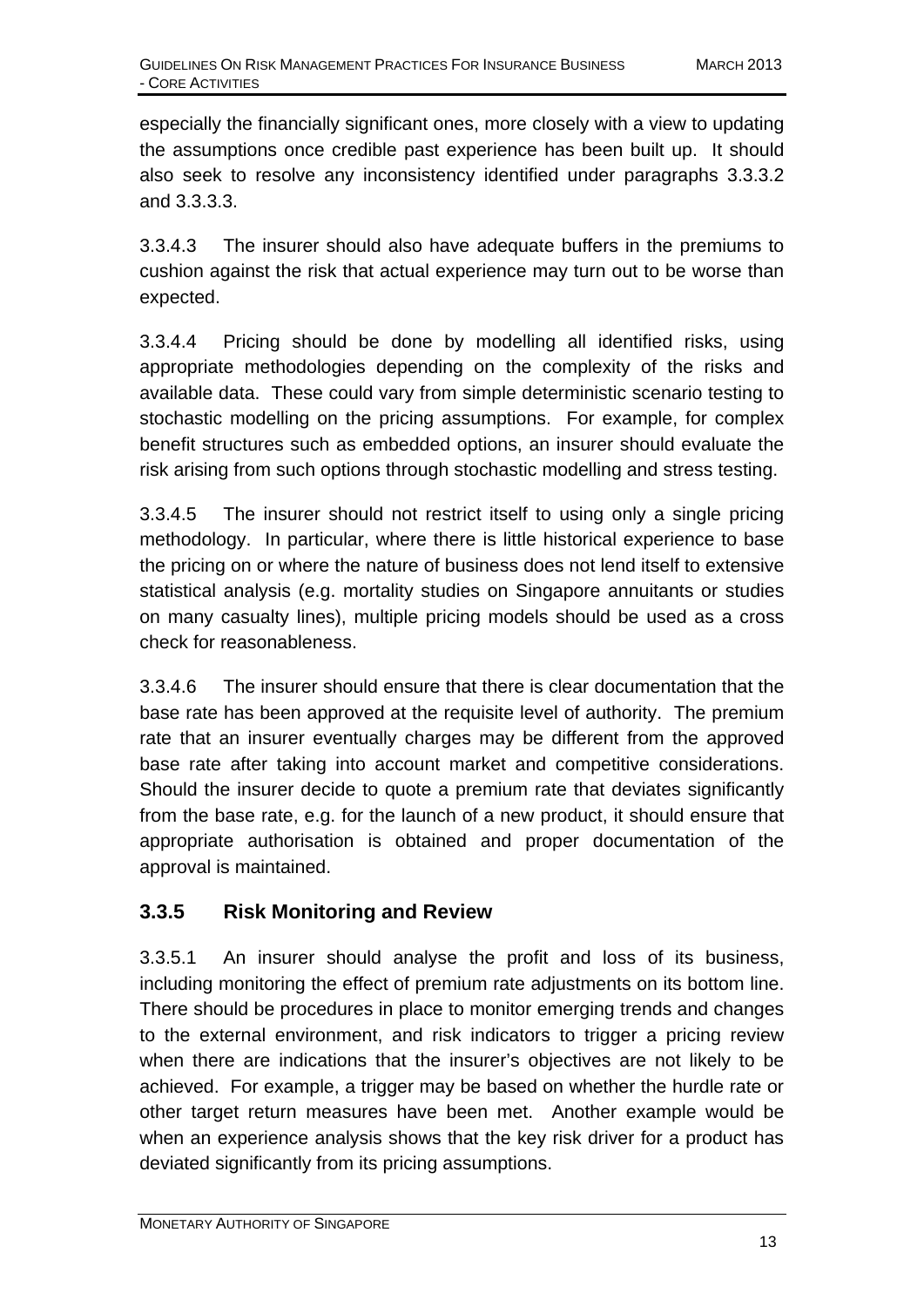especially the financially significant ones, more closely with a view to updating the assumptions once credible past experience has been built up. It should also seek to resolve any inconsistency identified under paragraphs 3.3.3.2 and 3.3.3.3.

3.3.4.3 The insurer should also have adequate buffers in the premiums to cushion against the risk that actual experience may turn out to be worse than expected.

3.3.4.4 Pricing should be done by modelling all identified risks, using appropriate methodologies depending on the complexity of the risks and available data. These could vary from simple deterministic scenario testing to stochastic modelling on the pricing assumptions. For example, for complex benefit structures such as embedded options, an insurer should evaluate the risk arising from such options through stochastic modelling and stress testing.

3.3.4.5 The insurer should not restrict itself to using only a single pricing methodology. In particular, where there is little historical experience to base the pricing on or where the nature of business does not lend itself to extensive statistical analysis (e.g. mortality studies on Singapore annuitants or studies on many casualty lines), multiple pricing models should be used as a cross check for reasonableness.

3.3.4.6 The insurer should ensure that there is clear documentation that the base rate has been approved at the requisite level of authority. The premium rate that an insurer eventually charges may be different from the approved base rate after taking into account market and competitive considerations. Should the insurer decide to quote a premium rate that deviates significantly from the base rate, e.g. for the launch of a new product, it should ensure that appropriate authorisation is obtained and proper documentation of the approval is maintained.

## **3.3.5 Risk Monitoring and Review**

3.3.5.1 An insurer should analyse the profit and loss of its business, including monitoring the effect of premium rate adjustments on its bottom line. There should be procedures in place to monitor emerging trends and changes to the external environment, and risk indicators to trigger a pricing review when there are indications that the insurer's objectives are not likely to be achieved. For example, a trigger may be based on whether the hurdle rate or other target return measures have been met. Another example would be when an experience analysis shows that the key risk driver for a product has deviated significantly from its pricing assumptions.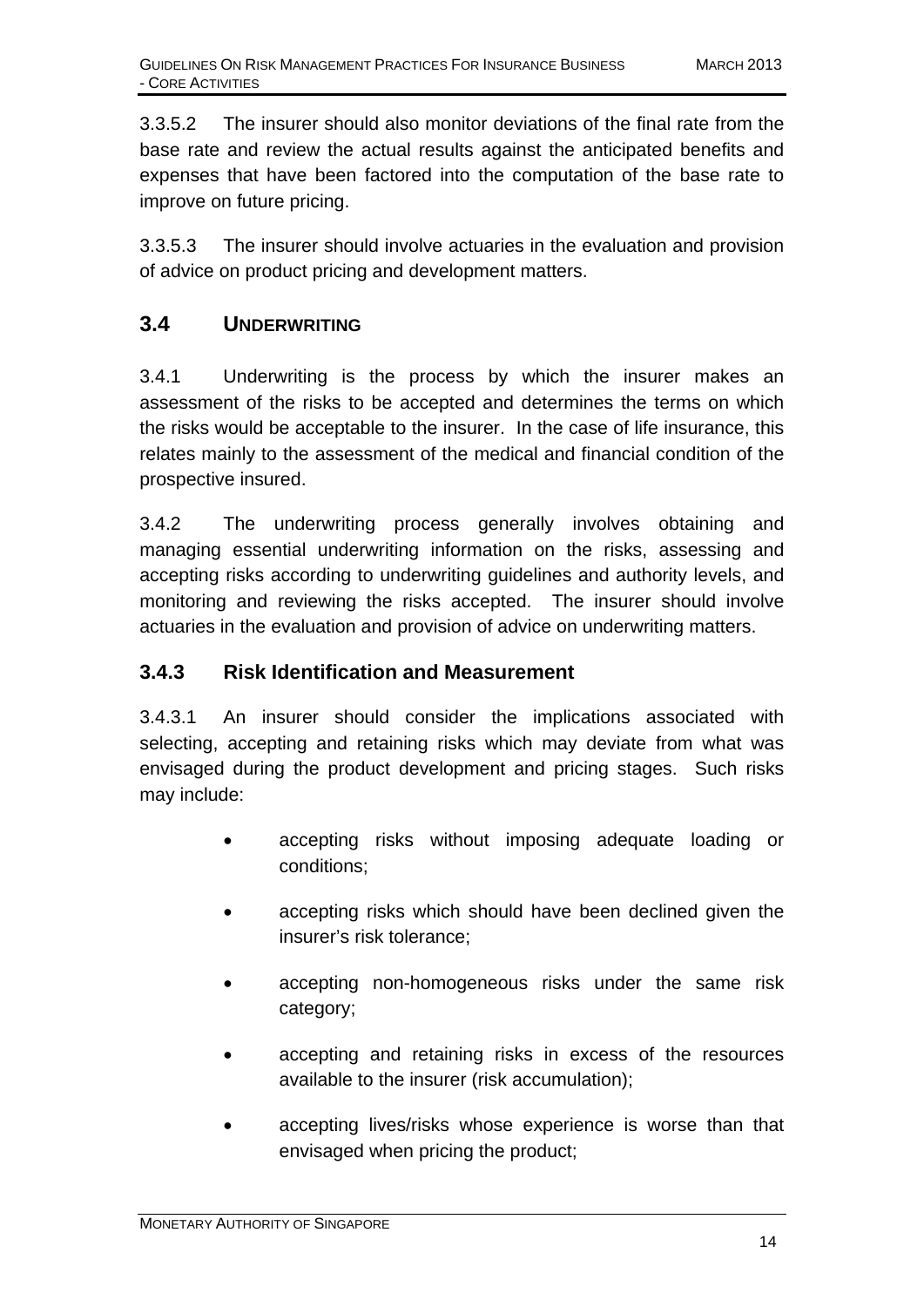3.3.5.2 The insurer should also monitor deviations of the final rate from the base rate and review the actual results against the anticipated benefits and expenses that have been factored into the computation of the base rate to improve on future pricing.

3.3.5.3 The insurer should involve actuaries in the evaluation and provision of advice on product pricing and development matters.

## **3.4 UNDERWRITING**

3.4.1 Underwriting is the process by which the insurer makes an assessment of the risks to be accepted and determines the terms on which the risks would be acceptable to the insurer. In the case of life insurance, this relates mainly to the assessment of the medical and financial condition of the prospective insured.

3.4.2 The underwriting process generally involves obtaining and managing essential underwriting information on the risks, assessing and accepting risks according to underwriting guidelines and authority levels, and monitoring and reviewing the risks accepted. The insurer should involve actuaries in the evaluation and provision of advice on underwriting matters.

#### **3.4.3 Risk Identification and Measurement**

3.4.3.1 An insurer should consider the implications associated with selecting, accepting and retaining risks which may deviate from what was envisaged during the product development and pricing stages. Such risks may include:

- accepting risks without imposing adequate loading or conditions;
- accepting risks which should have been declined given the insurer's risk tolerance;
- accepting non-homogeneous risks under the same risk category;
- accepting and retaining risks in excess of the resources available to the insurer (risk accumulation);
- accepting lives/risks whose experience is worse than that envisaged when pricing the product;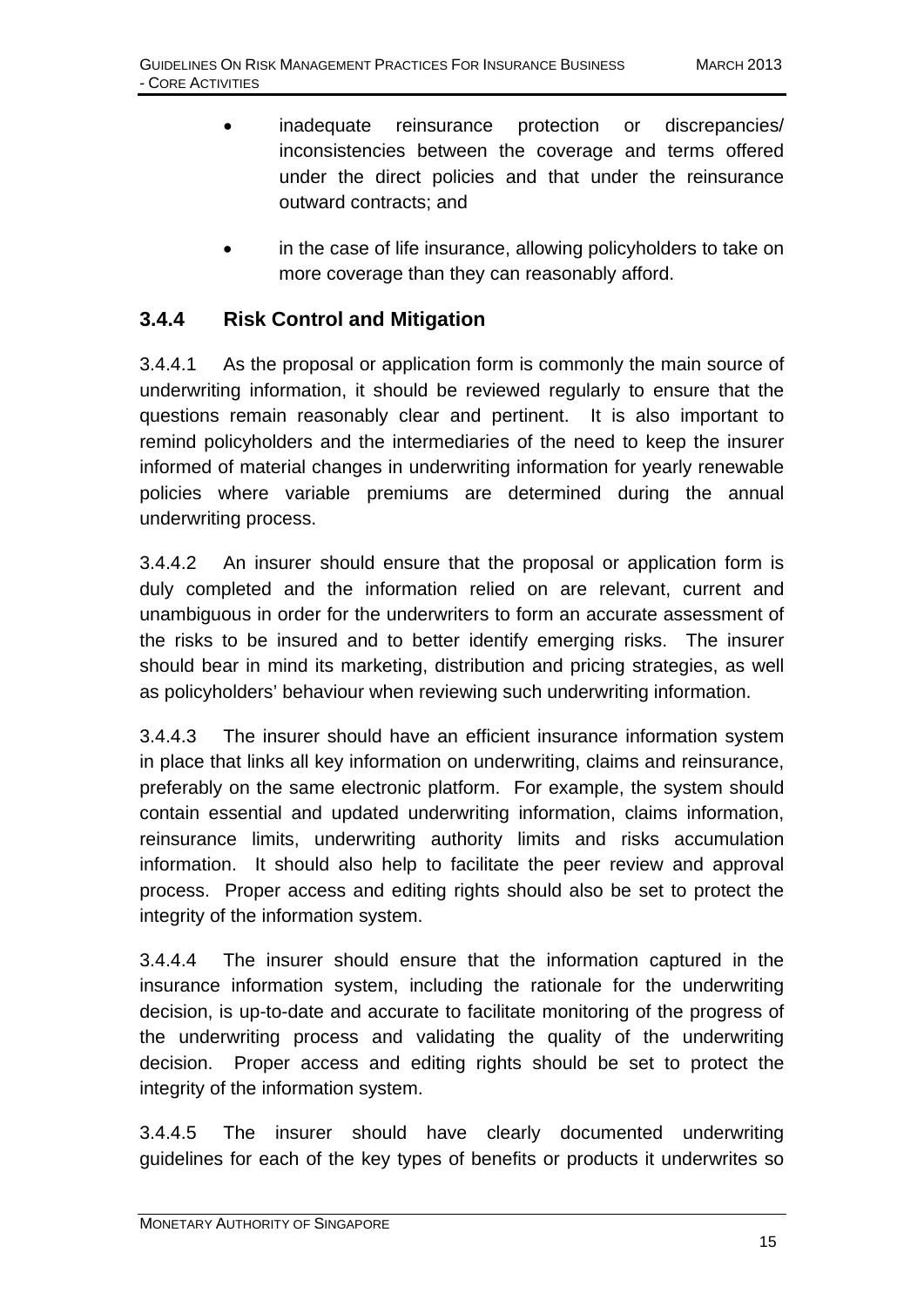- inadequate reinsurance protection or discrepancies/ inconsistencies between the coverage and terms offered under the direct policies and that under the reinsurance outward contracts; and
	- in the case of life insurance, allowing policyholders to take on more coverage than they can reasonably afford.

#### **3.4.4 Risk Control and Mitigation**

3.4.4.1 As the proposal or application form is commonly the main source of underwriting information, it should be reviewed regularly to ensure that the questions remain reasonably clear and pertinent. It is also important to remind policyholders and the intermediaries of the need to keep the insurer informed of material changes in underwriting information for yearly renewable policies where variable premiums are determined during the annual underwriting process.

3.4.4.2 An insurer should ensure that the proposal or application form is duly completed and the information relied on are relevant, current and unambiguous in order for the underwriters to form an accurate assessment of the risks to be insured and to better identify emerging risks. The insurer should bear in mind its marketing, distribution and pricing strategies, as well as policyholders' behaviour when reviewing such underwriting information.

3.4.4.3 The insurer should have an efficient insurance information system in place that links all key information on underwriting, claims and reinsurance, preferably on the same electronic platform. For example, the system should contain essential and updated underwriting information, claims information, reinsurance limits, underwriting authority limits and risks accumulation information. It should also help to facilitate the peer review and approval process. Proper access and editing rights should also be set to protect the integrity of the information system.

3.4.4.4 The insurer should ensure that the information captured in the insurance information system, including the rationale for the underwriting decision, is up-to-date and accurate to facilitate monitoring of the progress of the underwriting process and validating the quality of the underwriting decision. Proper access and editing rights should be set to protect the integrity of the information system.

3.4.4.5 The insurer should have clearly documented underwriting guidelines for each of the key types of benefits or products it underwrites so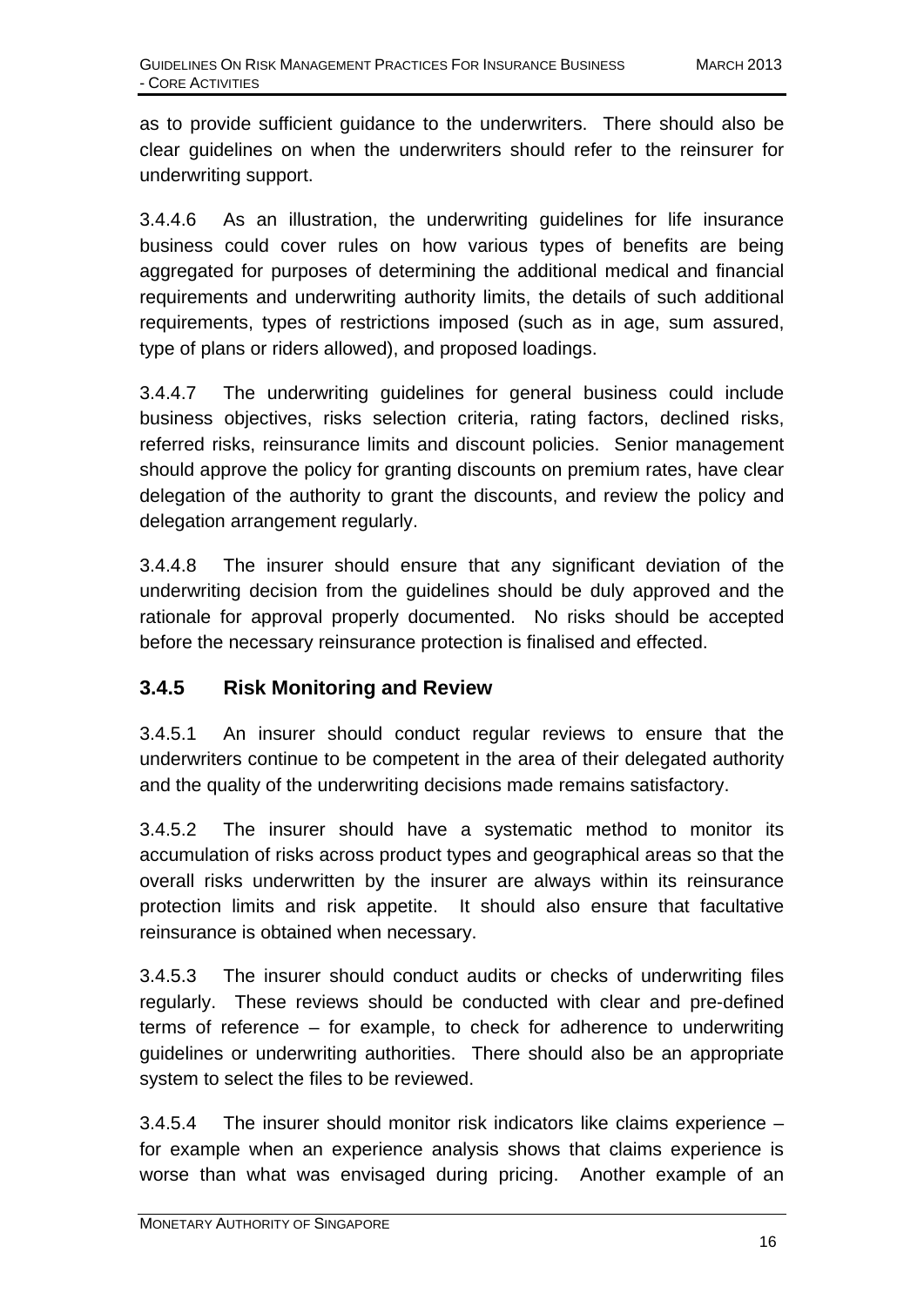as to provide sufficient guidance to the underwriters. There should also be clear guidelines on when the underwriters should refer to the reinsurer for underwriting support.

3.4.4.6 As an illustration, the underwriting guidelines for life insurance business could cover rules on how various types of benefits are being aggregated for purposes of determining the additional medical and financial requirements and underwriting authority limits, the details of such additional requirements, types of restrictions imposed (such as in age, sum assured, type of plans or riders allowed), and proposed loadings.

3.4.4.7 The underwriting guidelines for general business could include business objectives, risks selection criteria, rating factors, declined risks, referred risks, reinsurance limits and discount policies. Senior management should approve the policy for granting discounts on premium rates, have clear delegation of the authority to grant the discounts, and review the policy and delegation arrangement regularly.

3.4.4.8 The insurer should ensure that any significant deviation of the underwriting decision from the guidelines should be duly approved and the rationale for approval properly documented. No risks should be accepted before the necessary reinsurance protection is finalised and effected.

#### **3.4.5 Risk Monitoring and Review**

3.4.5.1 An insurer should conduct regular reviews to ensure that the underwriters continue to be competent in the area of their delegated authority and the quality of the underwriting decisions made remains satisfactory.

3.4.5.2 The insurer should have a systematic method to monitor its accumulation of risks across product types and geographical areas so that the overall risks underwritten by the insurer are always within its reinsurance protection limits and risk appetite. It should also ensure that facultative reinsurance is obtained when necessary.

3.4.5.3 The insurer should conduct audits or checks of underwriting files regularly. These reviews should be conducted with clear and pre-defined terms of reference – for example, to check for adherence to underwriting guidelines or underwriting authorities. There should also be an appropriate system to select the files to be reviewed.

3.4.5.4 The insurer should monitor risk indicators like claims experience – for example when an experience analysis shows that claims experience is worse than what was envisaged during pricing. Another example of an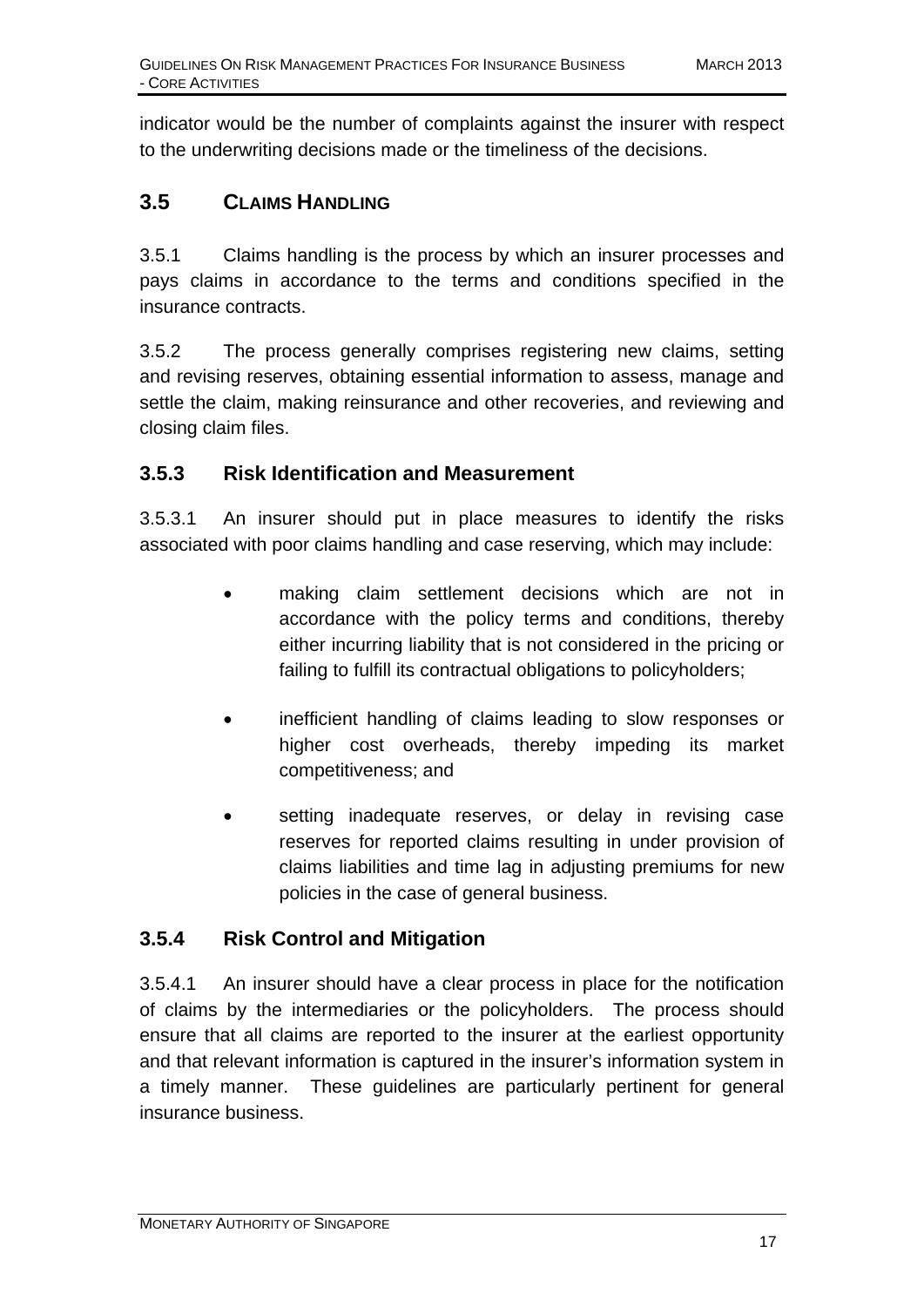indicator would be the number of complaints against the insurer with respect to the underwriting decisions made or the timeliness of the decisions.

## **3.5 CLAIMS HANDLING**

3.5.1 Claims handling is the process by which an insurer processes and pays claims in accordance to the terms and conditions specified in the insurance contracts.

3.5.2 The process generally comprises registering new claims, setting and revising reserves, obtaining essential information to assess, manage and settle the claim, making reinsurance and other recoveries, and reviewing and closing claim files.

#### **3.5.3 Risk Identification and Measurement**

3.5.3.1 An insurer should put in place measures to identify the risks associated with poor claims handling and case reserving, which may include:

- making claim settlement decisions which are not in accordance with the policy terms and conditions, thereby either incurring liability that is not considered in the pricing or failing to fulfill its contractual obligations to policyholders;
- inefficient handling of claims leading to slow responses or higher cost overheads, thereby impeding its market competitiveness; and
- setting inadequate reserves, or delay in revising case reserves for reported claims resulting in under provision of claims liabilities and time lag in adjusting premiums for new policies in the case of general business.

## **3.5.4 Risk Control and Mitigation**

3.5.4.1 An insurer should have a clear process in place for the notification of claims by the intermediaries or the policyholders. The process should ensure that all claims are reported to the insurer at the earliest opportunity and that relevant information is captured in the insurer's information system in a timely manner. These guidelines are particularly pertinent for general insurance business.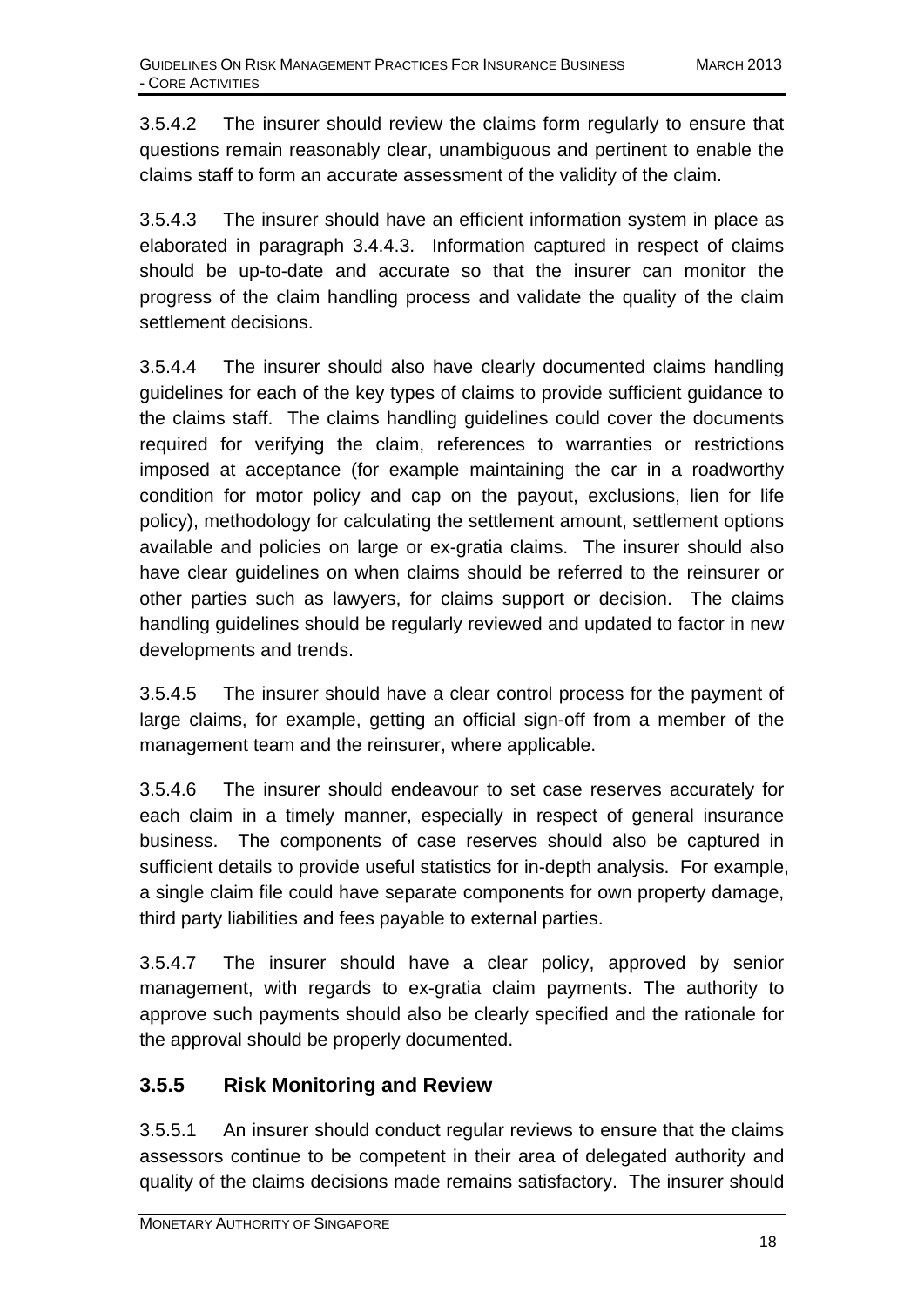3.5.4.2 The insurer should review the claims form regularly to ensure that questions remain reasonably clear, unambiguous and pertinent to enable the claims staff to form an accurate assessment of the validity of the claim.

3.5.4.3 The insurer should have an efficient information system in place as elaborated in paragraph 3.4.4.3. Information captured in respect of claims should be up-to-date and accurate so that the insurer can monitor the progress of the claim handling process and validate the quality of the claim settlement decisions.

3.5.4.4 The insurer should also have clearly documented claims handling guidelines for each of the key types of claims to provide sufficient guidance to the claims staff. The claims handling guidelines could cover the documents required for verifying the claim, references to warranties or restrictions imposed at acceptance (for example maintaining the car in a roadworthy condition for motor policy and cap on the payout, exclusions, lien for life policy), methodology for calculating the settlement amount, settlement options available and policies on large or ex-gratia claims. The insurer should also have clear guidelines on when claims should be referred to the reinsurer or other parties such as lawyers, for claims support or decision. The claims handling guidelines should be regularly reviewed and updated to factor in new developments and trends.

3.5.4.5 The insurer should have a clear control process for the payment of large claims, for example, getting an official sign-off from a member of the management team and the reinsurer, where applicable.

3.5.4.6 The insurer should endeavour to set case reserves accurately for each claim in a timely manner, especially in respect of general insurance business. The components of case reserves should also be captured in sufficient details to provide useful statistics for in-depth analysis. For example, a single claim file could have separate components for own property damage, third party liabilities and fees payable to external parties.

3.5.4.7 The insurer should have a clear policy, approved by senior management, with regards to ex-gratia claim payments. The authority to approve such payments should also be clearly specified and the rationale for the approval should be properly documented.

#### **3.5.5 Risk Monitoring and Review**

3.5.5.1 An insurer should conduct regular reviews to ensure that the claims assessors continue to be competent in their area of delegated authority and quality of the claims decisions made remains satisfactory. The insurer should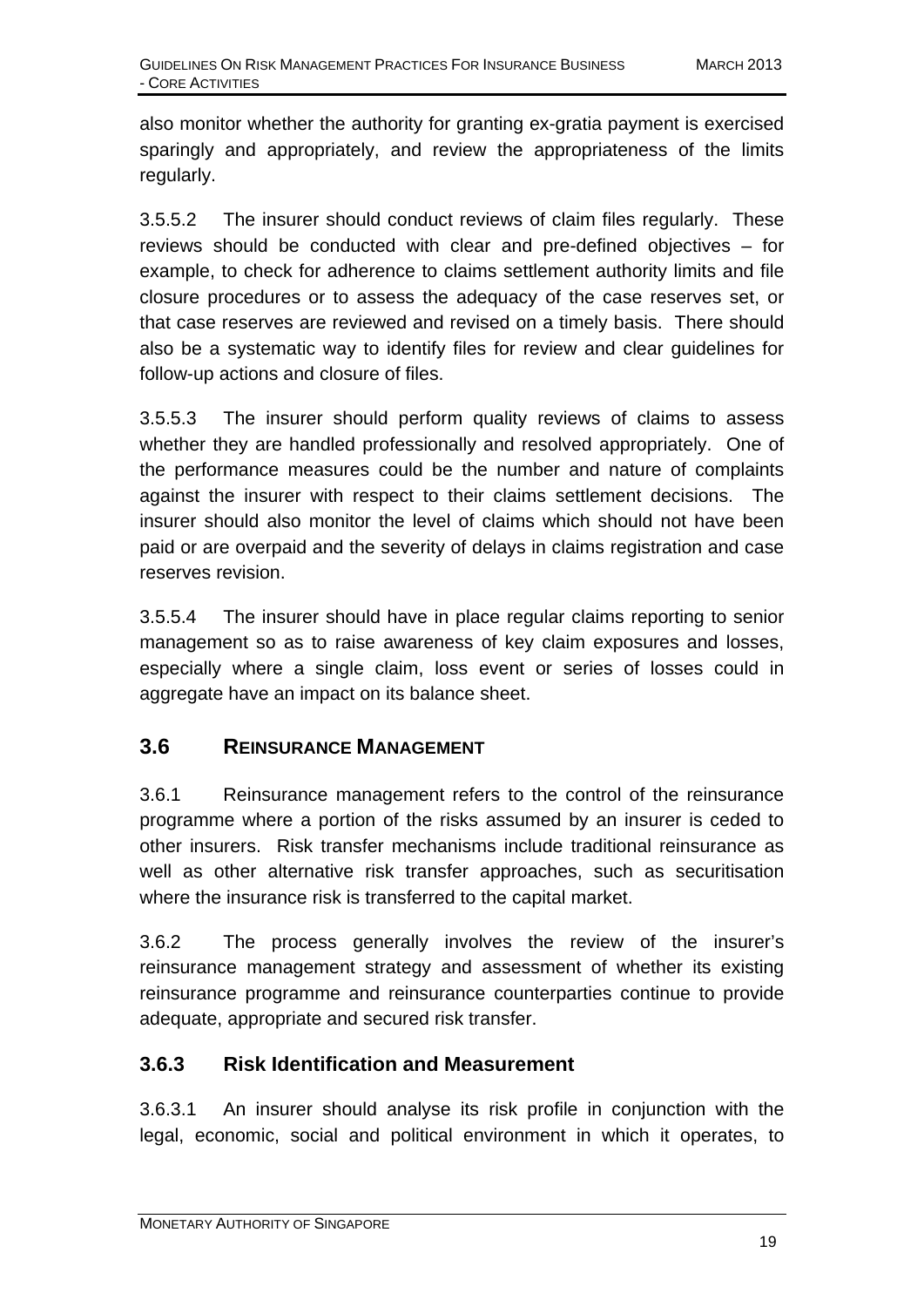also monitor whether the authority for granting ex-gratia payment is exercised sparingly and appropriately, and review the appropriateness of the limits regularly.

3.5.5.2 The insurer should conduct reviews of claim files regularly. These reviews should be conducted with clear and pre-defined objectives – for example, to check for adherence to claims settlement authority limits and file closure procedures or to assess the adequacy of the case reserves set, or that case reserves are reviewed and revised on a timely basis. There should also be a systematic way to identify files for review and clear guidelines for follow-up actions and closure of files.

3.5.5.3 The insurer should perform quality reviews of claims to assess whether they are handled professionally and resolved appropriately. One of the performance measures could be the number and nature of complaints against the insurer with respect to their claims settlement decisions. The insurer should also monitor the level of claims which should not have been paid or are overpaid and the severity of delays in claims registration and case reserves revision.

3.5.5.4 The insurer should have in place regular claims reporting to senior management so as to raise awareness of key claim exposures and losses, especially where a single claim, loss event or series of losses could in aggregate have an impact on its balance sheet.

#### **3.6 REINSURANCE MANAGEMENT**

3.6.1 Reinsurance management refers to the control of the reinsurance programme where a portion of the risks assumed by an insurer is ceded to other insurers. Risk transfer mechanisms include traditional reinsurance as well as other alternative risk transfer approaches, such as securitisation where the insurance risk is transferred to the capital market.

3.6.2 The process generally involves the review of the insurer's reinsurance management strategy and assessment of whether its existing reinsurance programme and reinsurance counterparties continue to provide adequate, appropriate and secured risk transfer.

#### **3.6.3 Risk Identification and Measurement**

3.6.3.1 An insurer should analyse its risk profile in conjunction with the legal, economic, social and political environment in which it operates, to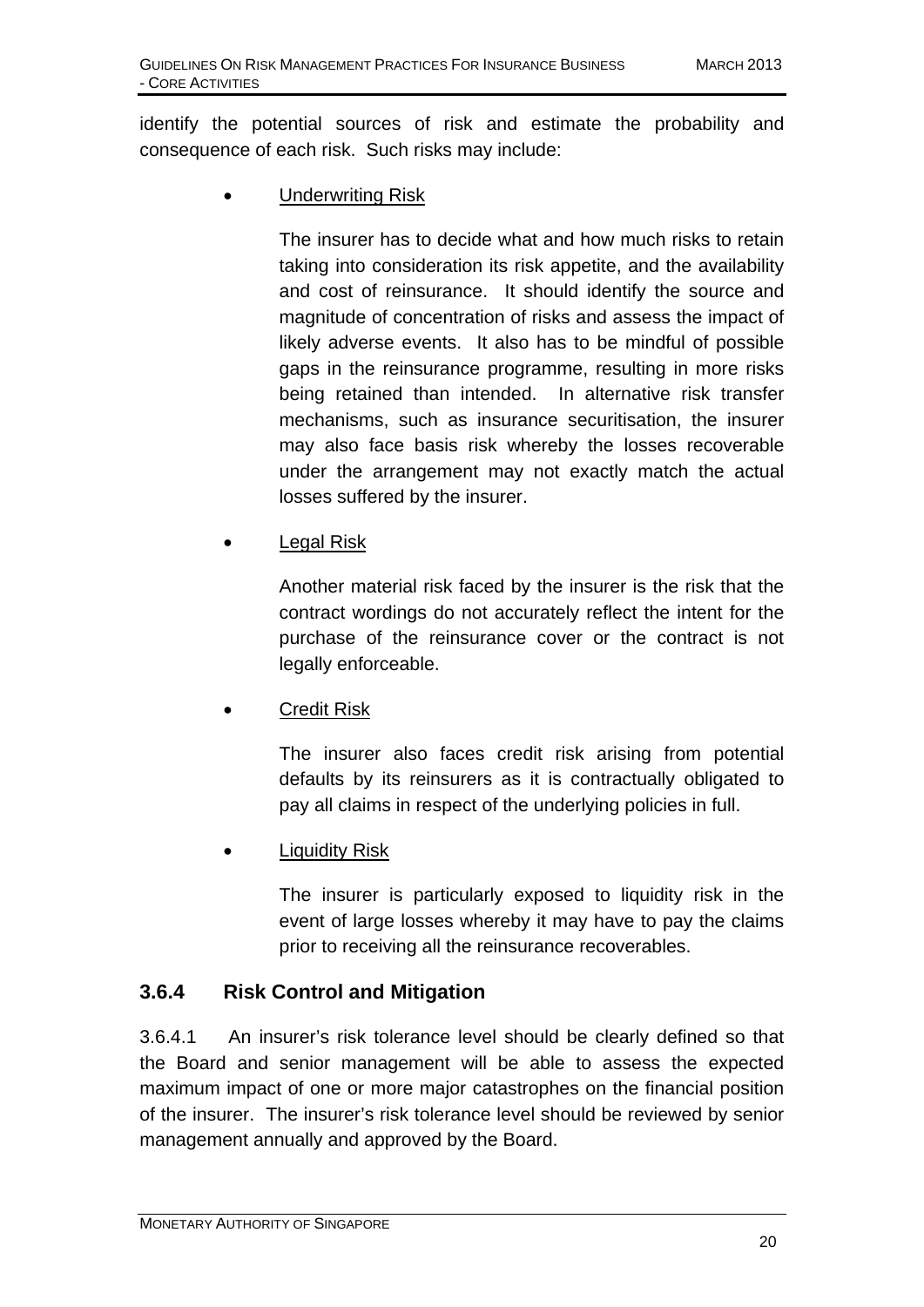identify the potential sources of risk and estimate the probability and consequence of each risk. Such risks may include:

• Underwriting Risk

The insurer has to decide what and how much risks to retain taking into consideration its risk appetite, and the availability and cost of reinsurance. It should identify the source and magnitude of concentration of risks and assess the impact of likely adverse events. It also has to be mindful of possible gaps in the reinsurance programme, resulting in more risks being retained than intended. In alternative risk transfer mechanisms, such as insurance securitisation, the insurer may also face basis risk whereby the losses recoverable under the arrangement may not exactly match the actual losses suffered by the insurer.

Legal Risk

Another material risk faced by the insurer is the risk that the contract wordings do not accurately reflect the intent for the purchase of the reinsurance cover or the contract is not legally enforceable.

• Credit Risk

The insurer also faces credit risk arising from potential defaults by its reinsurers as it is contractually obligated to pay all claims in respect of the underlying policies in full.

• Liquidity Risk

The insurer is particularly exposed to liquidity risk in the event of large losses whereby it may have to pay the claims prior to receiving all the reinsurance recoverables.

#### **3.6.4 Risk Control and Mitigation**

3.6.4.1 An insurer's risk tolerance level should be clearly defined so that the Board and senior management will be able to assess the expected maximum impact of one or more major catastrophes on the financial position of the insurer. The insurer's risk tolerance level should be reviewed by senior management annually and approved by the Board.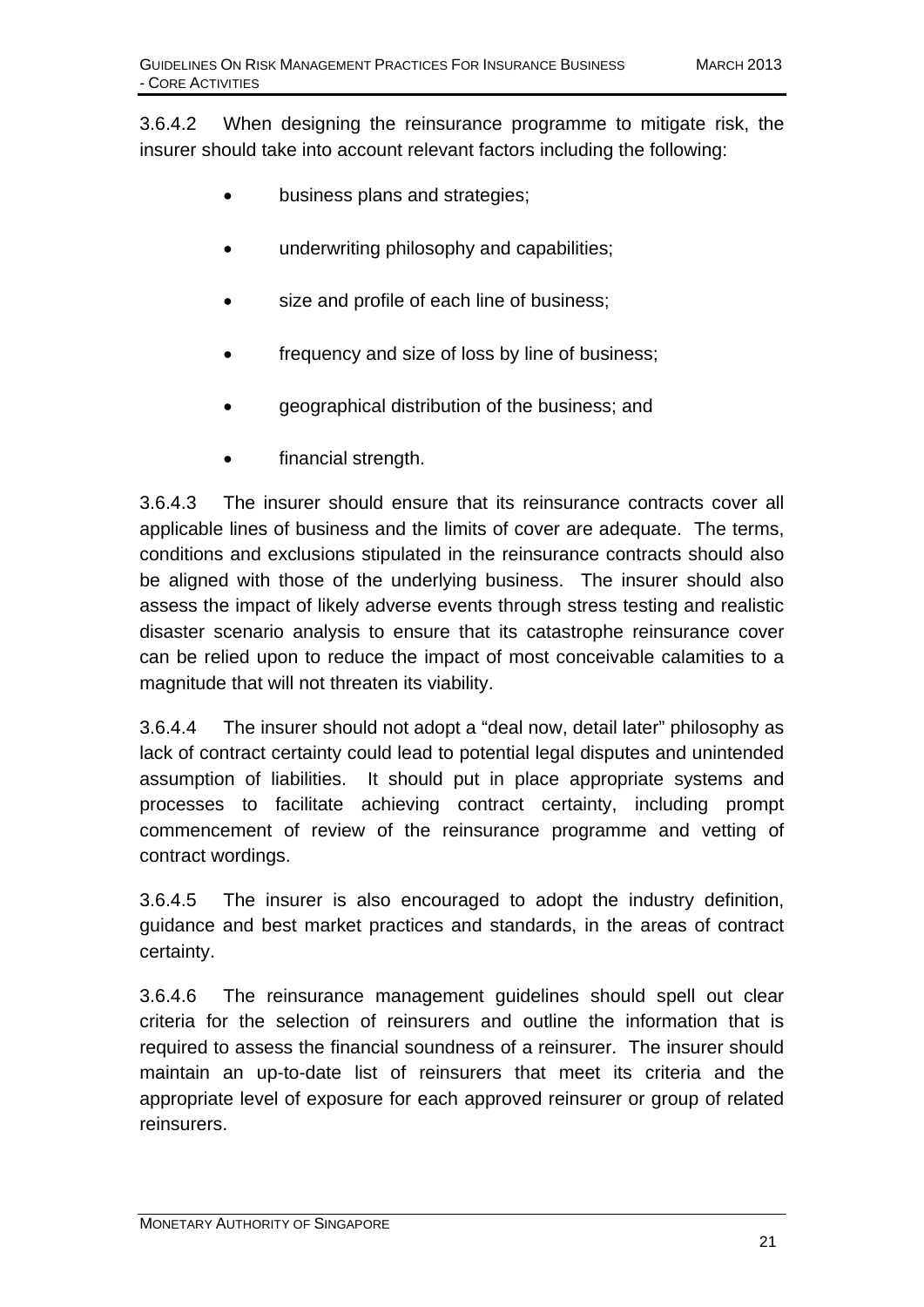3.6.4.2 When designing the reinsurance programme to mitigate risk, the insurer should take into account relevant factors including the following:

- business plans and strategies;
- underwriting philosophy and capabilities;
- size and profile of each line of business;
- frequency and size of loss by line of business;
- geographical distribution of the business; and
- financial strength.

3.6.4.3 The insurer should ensure that its reinsurance contracts cover all applicable lines of business and the limits of cover are adequate. The terms, conditions and exclusions stipulated in the reinsurance contracts should also be aligned with those of the underlying business. The insurer should also assess the impact of likely adverse events through stress testing and realistic disaster scenario analysis to ensure that its catastrophe reinsurance cover can be relied upon to reduce the impact of most conceivable calamities to a magnitude that will not threaten its viability.

3.6.4.4 The insurer should not adopt a "deal now, detail later" philosophy as lack of contract certainty could lead to potential legal disputes and unintended assumption of liabilities. It should put in place appropriate systems and processes to facilitate achieving contract certainty, including prompt commencement of review of the reinsurance programme and vetting of contract wordings.

3.6.4.5 The insurer is also encouraged to adopt the industry definition, guidance and best market practices and standards, in the areas of contract certainty.

3.6.4.6 The reinsurance management guidelines should spell out clear criteria for the selection of reinsurers and outline the information that is required to assess the financial soundness of a reinsurer. The insurer should maintain an up-to-date list of reinsurers that meet its criteria and the appropriate level of exposure for each approved reinsurer or group of related reinsurers.